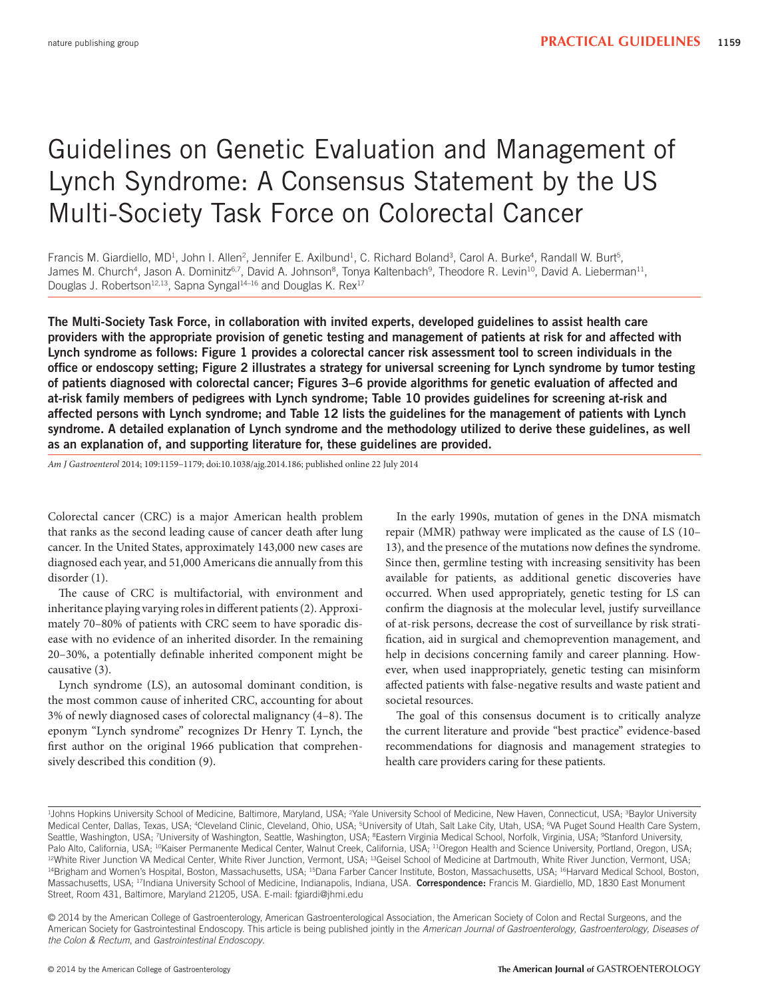# Guidelines on Genetic Evaluation and Management of Lynch Syndrome: A Consensus Statement by the US Multi-Society Task Force on Colorectal Cancer

Francis M. Giardiello, MD<sup>1</sup>, John I. Allen<sup>2</sup>, Jennifer E. Axilbund<sup>1</sup>, C. Richard Boland<sup>3</sup>, Carol A. Burke<sup>4</sup>, Randall W. Burt<sup>5</sup>, James M. Church<sup>4</sup>, Jason A. Dominitz<sup>6,7</sup>, David A. Johnson<sup>8</sup>, Tonya Kaltenbach<sup>9</sup>, Theodore R. Levin<sup>10</sup>, David A. Lieberman<sup>11</sup>, Douglas J. Robertson<sup>12,13</sup>, Sapna Syngal<sup>14–16</sup> and Douglas K. Rex<sup>17</sup>

**The Multi-Society Task Force, in collaboration with invited experts, developed guidelines to assist health care providers with the appropriate provision of genetic testing and management of patients at risk for and affected with Lynch syndrome as follows: Figure 1 provides a colorectal cancer risk assessment tool to screen individuals in the offi ce or endoscopy setting; Figure 2 illustrates a strategy for universal screening for Lynch syndrome by tumor testing**  of patients diagnosed with colorectal cancer; Figures 3–6 provide algorithms for genetic evaluation of affected and **at-risk family members of pedigrees with Lynch syndrome; Table 10 provides guidelines for screening at-risk and affected persons with Lynch syndrome; and Table 12 lists the guidelines for the management of patients with Lynch syndrome. A detailed explanation of Lynch syndrome and the methodology utilized to derive these guidelines, as well as an explanation of, and supporting literature for, these guidelines are provided.** 

*Am J Gastroenterol* 2014; 109:1159–1179; doi: 10.1038/ajg.2014.186; published online 22 July 2014

 Colorectal cancer (CRC) is a major American health problem that ranks as the second leading cause of cancer death after lung cancer. In the United States, approximately 143,000 new cases are diagnosed each year, and 51,000 Americans die annually from this disorder (1).

The cause of CRC is multifactorial, with environment and inheritance playing varying roles in different patients (2). Approximately 70-80% of patients with CRC seem to have sporadic disease with no evidence of an inherited disorder. In the remaining 20-30%, a potentially definable inherited component might be causative  $(3)$ .

 Lynch syndrome (LS), an autosomal dominant condition, is the most common cause of inherited CRC, accounting for about 3% of newly diagnosed cases of colorectal malignancy (4-8). The eponym "Lynch syndrome" recognizes Dr Henry T. Lynch, the first author on the original 1966 publication that comprehensively described this condition (9).

 In the early 1990s, mutation of genes in the DNA mismatch repair (MMR) pathway were implicated as the cause of LS (10-13), and the presence of the mutations now defines the syndrome. Since then, germline testing with increasing sensitivity has been available for patients, as additional genetic discoveries have occurred. When used appropriately, genetic testing for LS can confirm the diagnosis at the molecular level, justify surveillance of at-risk persons, decrease the cost of surveillance by risk stratification, aid in surgical and chemoprevention management, and help in decisions concerning family and career planning. However, when used inappropriately, genetic testing can misinform affected patients with false-negative results and waste patient and societal resources.

The goal of this consensus document is to critically analyze the current literature and provide "best practice" evidence-based recommendations for diagnosis and management strategies to health care providers caring for these patients.

<sup>&</sup>lt;sup>1</sup>Johns Hopkins University School of Medicine, Baltimore, Maryland, USA; <sup>2</sup>Yale University School of Medicine, New Haven, Connecticut, USA; <sup>3</sup>Baylor University Medical Center, Dallas, Texas, USA; <sup>4</sup>Cleveland Clinic, Cleveland, Ohio, USA; <sup>5</sup>University of Utah, Salt Lake City, Utah, USA; <sup>6</sup>VA Puget Sound Health Care System, Seattle, Washington, USA; <sup>7</sup>University of Washington, Seattle, Washington, USA; <sup>s</sup>Eastern Virginia Medical School, Norfolk, Virginia, USA; <sup>9</sup>Stanford University, Palo Alto, California, USA; <sup>10</sup>Kaiser Permanente Medical Center, Walnut Creek, California, USA; <sup>11</sup>Oregon Health and Science University, Portland, Oregon, USA; <sup>12</sup>White River Junction VA Medical Center, White River Junc Massachusetts, USA; <sup>17</sup>Indiana University School of Medicine, Indianapolis, Indiana, USA. Correspondence: Francis M. Giardiello, MD, 1830 East Monument Street, Room 431, Baltimore, Maryland 21205, USA. E-mail: fgiardi@jhmi.edu

<sup>©2014</sup> by the American College of Gastroenterology, American Gastroenterological Association, the American Society of Colon and Rectal Surgeons, and the American Society for Gastrointestinal Endoscopy. This article is being published jointly in the *American Journal of Gastroenterology*, *Gastroenterology*, *Diseases of the Colon & Rectum*, and *Gastrointestinal Endoscopy*.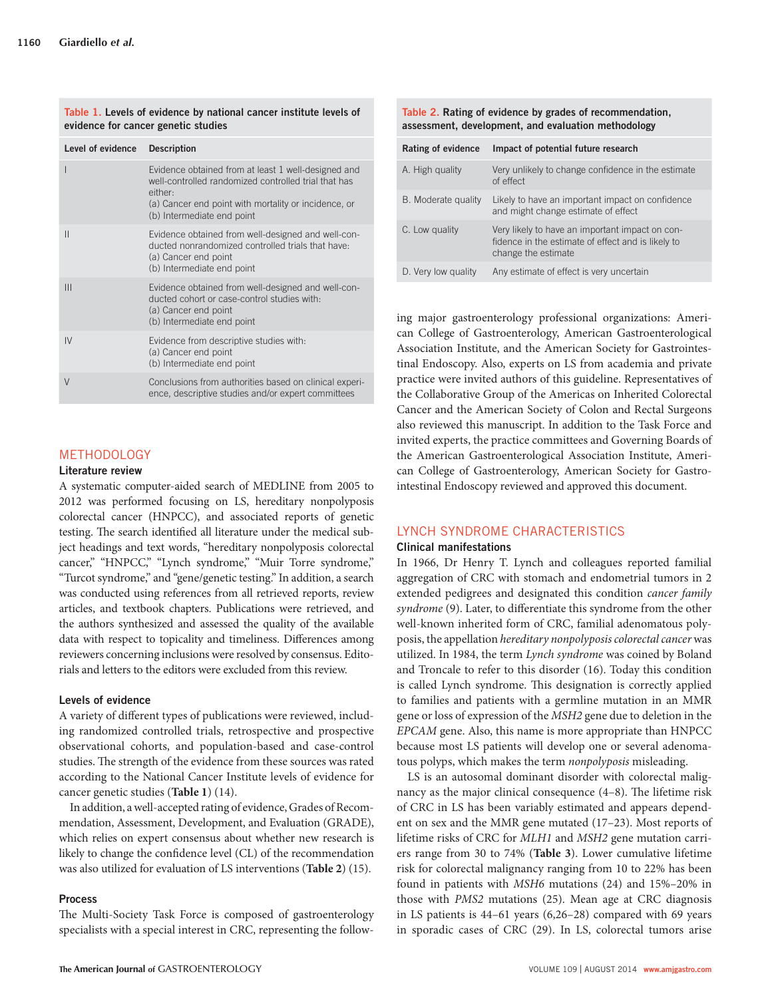| Level of evidence | <b>Description</b>                                                                                                                                                                                           |
|-------------------|--------------------------------------------------------------------------------------------------------------------------------------------------------------------------------------------------------------|
|                   | Evidence obtained from at least 1 well-designed and<br>well-controlled randomized controlled trial that has<br>either:<br>(a) Cancer end point with mortality or incidence, or<br>(b) Intermediate end point |
| $\mathsf{II}$     | Evidence obtained from well-designed and well-con-<br>ducted nonrandomized controlled trials that have:<br>(a) Cancer end point<br>(b) Intermediate end point                                                |
| Ш                 | Evidence obtained from well-designed and well-con-<br>ducted cohort or case-control studies with:<br>(a) Cancer end point<br>(b) Intermediate end point                                                      |
| IV                | Evidence from descriptive studies with:<br>(a) Cancer end point<br>(b) Intermediate end point                                                                                                                |
| $\vee$            | Conclusions from authorities based on clinical experi-<br>ence, descriptive studies and/or expert committees                                                                                                 |

#### Table 1. Levels of evidence by national cancer institute levels of **evidence for cancer genetic studies**

# METHODOLOGY

### **Literature review**

 A systematic computer-aided search of MEDLINE from 2005 to 2012 was performed focusing on LS, hereditary nonpolyposis colorectal cancer (HNPCC), and associated reports of genetic testing. The search identified all literature under the medical subject headings and text words, "hereditary nonpolyposis colorectal cancer," "HNPCC," "Lynch syndrome," "Muir Torre syndrome," "Turcot syndrome," and "gene/genetic testing." In addition, a search was conducted using references from all retrieved reports, review articles, and textbook chapters. Publications were retrieved, and the authors synthesized and assessed the quality of the available data with respect to topicality and timeliness. Differences among reviewers concerning inclusions were resolved by consensus. Editorials and letters to the editors were excluded from this review.

### **Levels of evidence**

A variety of different types of publications were reviewed, including randomized controlled trials, retrospective and prospective observational cohorts, and population-based and case-control studies. The strength of the evidence from these sources was rated according to the National Cancer Institute levels of evidence for cancer genetic studies (Table 1) (14).

 In addition, a well-accepted rating of evidence, Grades of Recommendation, Assessment, Development, and Evaluation (GRADE), which relies on expert consensus about whether new research is likely to change the confidence level (CL) of the recommendation was also utilized for evaluation of LS interventions (Table 2) (15).

# **Process**

The Multi-Society Task Force is composed of gastroenterology specialists with a special interest in CRC, representing the follow-

| Table 2. Rating of evidence by grades of recommendation, |
|----------------------------------------------------------|
| assessment, development, and evaluation methodology      |

| <b>Rating of evidence</b> | Impact of potential future research                                                                                          |
|---------------------------|------------------------------------------------------------------------------------------------------------------------------|
| A. High quality           | Very unlikely to change confidence in the estimate<br>of effect                                                              |
| B. Moderate quality       | Likely to have an important impact on confidence<br>and might change estimate of effect                                      |
| C. Low quality            | Very likely to have an important impact on con-<br>fidence in the estimate of effect and is likely to<br>change the estimate |
| D. Very low quality       | Any estimate of effect is very uncertain                                                                                     |

ing major gastroenterology professional organizations: American College of Gastroenterology, American Gastroenterological Association Institute, and the American Society for Gastrointestinal Endoscopy. Also, experts on LS from academia and private practice were invited authors of this guideline. Representatives of the Collaborative Group of the Americas on Inherited Colorectal Cancer and the American Society of Colon and Rectal Surgeons also reviewed this manuscript. In addition to the Task Force and invited experts, the practice committees and Governing Boards of the American Gastroenterological Association Institute, American College of Gastroenterology, American Society for Gastrointestinal Endoscopy reviewed and approved this document.

# LYNCH SYNDROME CHARACTERISTICS

### **Clinical manifestations**

 In 1966, Dr Henry T. Lynch and colleagues reported familial aggregation of CRC with stomach and endometrial tumors in 2 extended pedigrees and designated this condition *cancer family*  syndrome (9). Later, to differentiate this syndrome from the other well-known inherited form of CRC, familial adenomatous polyposis, the appellation *hereditary nonpolyposis colorectal cancer* was utilized. In 1984, the term *Lynch syndrome* was coined by Boland and Troncale to refer to this disorder (16). Today this condition is called Lynch syndrome. This designation is correctly applied to families and patients with a germline mutation in an MMR gene or loss of expression of the *MSH2* gene due to deletion in the *EPCAM* gene. Also, this name is more appropriate than HNPCC because most LS patients will develop one or several adenomatous polyps, which makes the term *nonpolyposis* misleading.

 LS is an autosomal dominant disorder with colorectal malignancy as the major clinical consequence  $(4-8)$ . The lifetime risk of CRC in LS has been variably estimated and appears dependent on sex and the MMR gene mutated (17–23). Most reports of lifetime risks of CRC for *MLH1* and *MSH2* gene mutation carriers range from 30 to 74% (Table 3). Lower cumulative lifetime risk for colorectal malignancy ranging from 10 to 22% has been found in patients with *MSH6* mutations (24) and 15%-20% in those with *PMS2* mutations (25). Mean age at CRC diagnosis in LS patients is  $44-61$  years  $(6,26-28)$  compared with 69 years in sporadic cases of CRC (29). In LS, colorectal tumors arise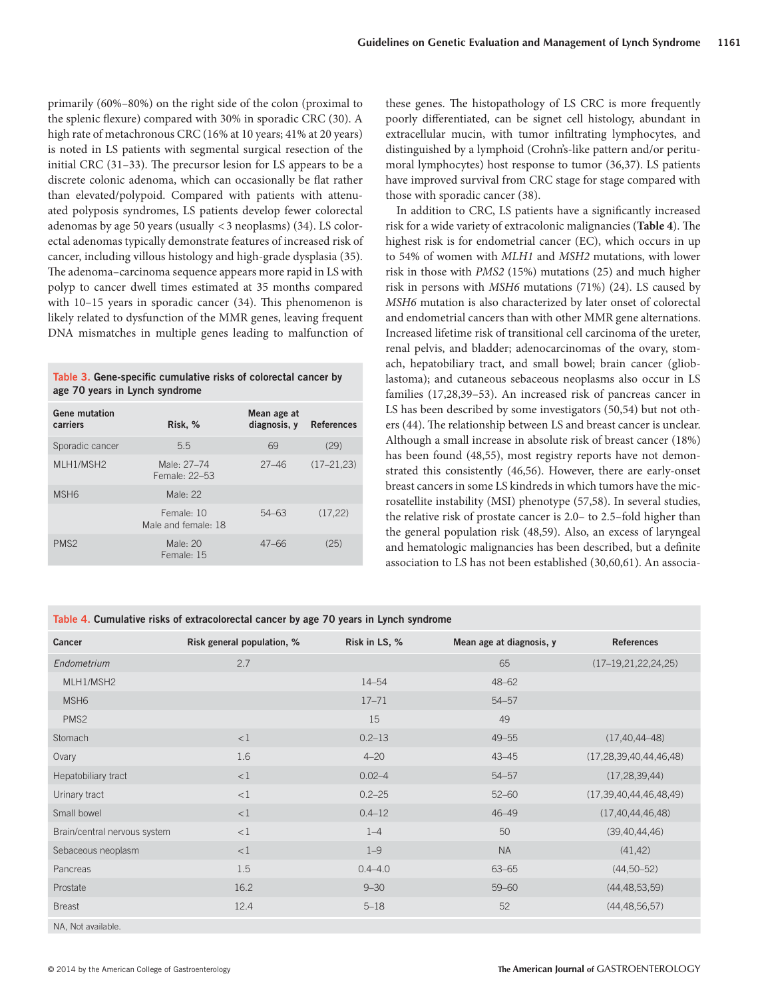primarily  $(60\% - 80\%)$  on the right side of the colon (proximal to the splenic flexure) compared with 30% in sporadic CRC (30). A high rate of metachronous CRC (16% at 10 years; 41% at 20 years) is noted in LS patients with segmental surgical resection of the initial CRC  $(31-33)$ . The precursor lesion for LS appears to be a discrete colonic adenoma, which can occasionally be flat rather than elevated/polypoid. Compared with patients with attenuated polyposis syndromes, LS patients develop fewer colorectal adenomas by age 50 years (usually  $\langle 3 \rangle$  neoplasms) (34). LS colorectal adenomas typically demonstrate features of increased risk of cancer, including villous histology and high-grade dysplasia (35). The adenoma-carcinoma sequence appears more rapid in LS with polyp to cancer dwell times estimated at 35 months compared with  $10-15$  years in sporadic cancer  $(34)$ . This phenomenon is likely related to dysfunction of the MMR genes, leaving frequent DNA mismatches in multiple genes leading to malfunction of

Table 3. Gene-specific cumulative risks of colorectal cancer by **age 70 years in Lynch syndrome** 

| <b>Gene mutation</b><br>carriers | Risk, %                           | Mean age at<br>diagnosis, y | <b>References</b> |
|----------------------------------|-----------------------------------|-----------------------------|-------------------|
| Sporadic cancer                  | 5.5                               | 69                          | (29)              |
| MLH1/MSH2                        | Male: 27-74<br>Female: 22-53      | $27 - 46$                   | $(17 - 21, 23)$   |
| MSH <sub>6</sub>                 | Male $22$                         |                             |                   |
|                                  | Female: 10<br>Male and female: 18 | $54 - 63$                   | (17, 22)          |
| PMS <sub>2</sub>                 | Male: 20<br>Female: 15            | $47 - 66$                   | (25)              |

these genes. The histopathology of LS CRC is more frequently poorly differentiated, can be signet cell histology, abundant in extracellular mucin, with tumor infiltrating lymphocytes, and distinguished by a lymphoid (Crohn's-like pattern and/or peritumoral lymphocytes) host response to tumor (36,37). LS patients have improved survival from CRC stage for stage compared with those with sporadic cancer (38).

In addition to CRC, LS patients have a significantly increased risk for a wide variety of extracolonic malignancies (**Table 4**). The highest risk is for endometrial cancer (EC), which occurs in up to 54% of women with *MLH1* and *MSH2* mutations, with lower risk in those with *PMS2* (15%) mutations (25) and much higher risk in persons with *MSH6* mutations (71%) (24). LS caused by *MSH6* mutation is also characterized by later onset of colorectal and endometrial cancers than with other MMR gene alternations. Increased lifetime risk of transitional cell carcinoma of the ureter, renal pelvis, and bladder; adenocarcinomas of the ovary, stomach, hepatobiliary tract, and small bowel; brain cancer (glioblastoma); and cutaneous sebaceous neoplasms also occur in LS families (17,28,39-53). An increased risk of pancreas cancer in LS has been described by some investigators (50,54) but not others (44). The relationship between LS and breast cancer is unclear. Although a small increase in absolute risk of breast cancer (18%) has been found (48,55), most registry reports have not demonstrated this consistently (46,56). However, there are early-onset breast cancers in some LS kindreds in which tumors have the microsatellite instability (MSI) phenotype (57,58). In several studies, the relative risk of prostate cancer is 2.0– to 2.5–fold higher than the general population risk (48,59). Also, an excess of laryngeal and hematologic malignancies has been described, but a definite association to LS has not been established (30,60,61). An associa-

Table 4. Cumulative risks of extracolorectal cancer by age 70 years in Lynch syndrome

| Cancer                       | Risk general population, % | Risk in LS, % | Mean age at diagnosis, y | <b>References</b>            |
|------------------------------|----------------------------|---------------|--------------------------|------------------------------|
| Endometrium                  | 2.7                        |               | 65                       | $(17-19, 21, 22, 24, 25)$    |
| MLH1/MSH2                    |                            | $14 - 54$     | $48 - 62$                |                              |
| MSH <sub>6</sub>             |                            | $17 - 71$     | $54 - 57$                |                              |
| PMS2                         |                            | 15            | 49                       |                              |
| Stomach                      | <1                         | $0.2 - 13$    | $49 - 55$                | $(17, 40, 44 - 48)$          |
| Ovary                        | 1.6                        | $4 - 20$      | $43 - 45$                | (17, 28, 39, 40, 44, 46, 48) |
| Hepatobiliary tract          | <1                         | $0.02 - 4$    | $54 - 57$                | (17, 28, 39, 44)             |
| Urinary tract                | <1                         | $0.2 - 25$    | $52 - 60$                | (17, 39, 40, 44, 46, 48, 49) |
| Small bowel                  | <1                         | $0.4 - 12$    | $46 - 49$                | (17, 40, 44, 46, 48)         |
| Brain/central nervous system | <1                         | $1 - 4$       | 50                       | (39, 40, 44, 46)             |
| Sebaceous neoplasm           | <1                         | $1 - 9$       | <b>NA</b>                | (41, 42)                     |
| Pancreas                     | 1.5                        | $0.4 - 4.0$   | $63 - 65$                | $(44, 50 - 52)$              |
| Prostate                     | 16.2                       | $9 - 30$      | $59 - 60$                | (44, 48, 53, 59)             |
| <b>Breast</b>                | 12.4                       | $5 - 18$      | 52                       | (44, 48, 56, 57)             |
| NA, Not available.           |                            |               |                          |                              |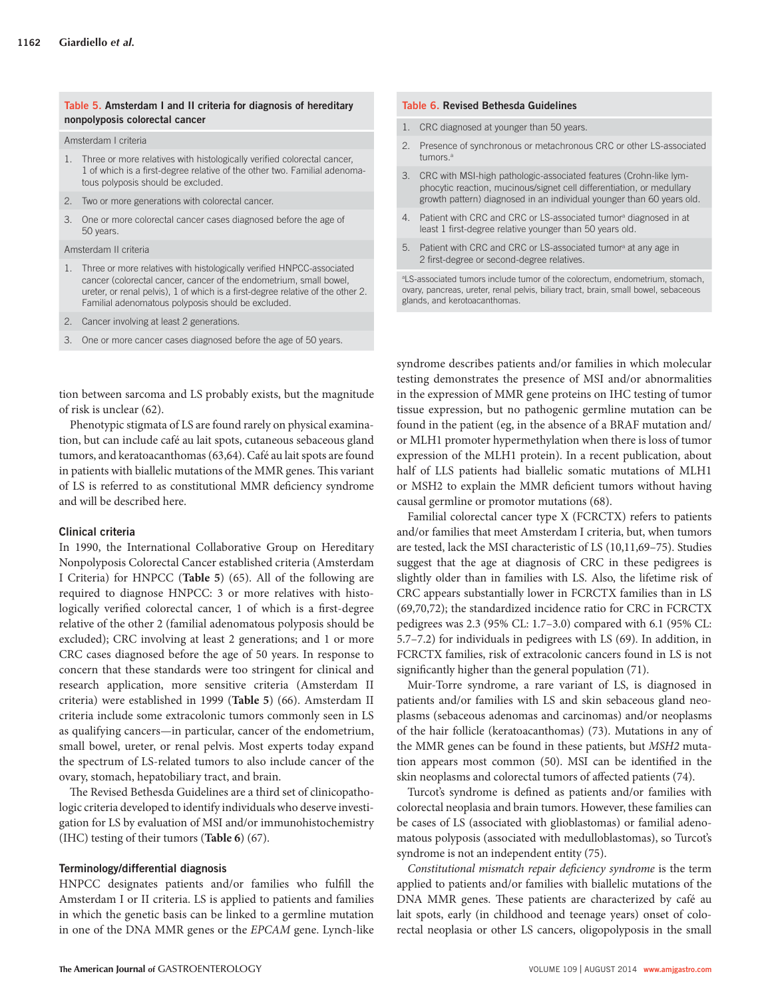#### **Table 5 . Amsterdam I and II criteria for diagnosis of hereditary nonpolyposis colorectal cancer**

#### Amsterdam I criteria

- 1. Three or more relatives with histologically verified colorectal cancer, 1 of which is a first-degree relative of the other two. Familial adenomatous polyposis should be excluded.
- 2. Two or more generations with colorectal cancer.
- 3. One or more colorectal cancer cases diagnosed before the age of 50 years.

### Amsterdam II criteria

- 1. Three or more relatives with histologically verified HNPCC-associated cancer (colorectal cancer, cancer of the endometrium, small bowel, ureter, or renal pelvis), 1 of which is a first-degree relative of the other 2. Familial adenomatous polyposis should be excluded.
- 2. Cancer involving at least 2 generations.
- 3. One or more cancer cases diagnosed before the age of 50 years.

tion between sarcoma and LS probably exists, but the magnitude of risk is unclear (62).

 Phenotypic stigmata of LS are found rarely on physical examination, but can include café au lait spots, cutaneous sebaceous gland tumors, and keratoacanthomas (63,64). Café au lait spots are found in patients with biallelic mutations of the MMR genes. This variant of LS is referred to as constitutional MMR deficiency syndrome and will be described here.

### **Clinical criteria**

 In 1990, the International Collaborative Group on Hereditary Nonpolyposis Colorectal Cancer established criteria (Amsterdam I Criteria) for HNPCC ( **Table 5** ) ( 65 ). All of the following are required to diagnose HNPCC: 3 or more relatives with histologically verified colorectal cancer, 1 of which is a first-degree relative of the other 2 (familial adenomatous polyposis should be excluded); CRC involving at least 2 generations; and 1 or more CRC cases diagnosed before the age of 50 years. In response to concern that these standards were too stringent for clinical and research application, more sensitive criteria (Amsterdam II criteria) were established in 1999 (Table 5) (66). Amsterdam II criteria include some extracolonic tumors commonly seen in LS as qualifying cancers — in particular, cancer of the endometrium, small bowel, ureter, or renal pelvis. Most experts today expand the spectrum of LS-related tumors to also include cancer of the ovary, stomach, hepatobiliary tract, and brain.

The Revised Bethesda Guidelines are a third set of clinicopathologic criteria developed to identify individuals who deserve investigation for LS by evaluation of MSI and/or immunohistochemistry (IHC) testing of their tumors (**Table 6**) (67).

### **Terminology / differential diagnosis**

HNPCC designates patients and/or families who fulfill the Amsterdam I or II criteria. LS is applied to patients and families in which the genetic basis can be linked to a germline mutation in one of the DNA MMR genes or the *EPCAM* gene. Lynch-like

#### **Table 6 . Revised Bethesda Guidelines**

- 1. CRC diagnosed at younger than 50 years.
- 2. Presence of synchronous or metachronous CRC or other LS-associated tumors<sup>a</sup>
- 3. CRC with MSI-high pathologic-associated features (Crohn-like lymphocytic reaction, mucinous/signet cell differentiation, or medullary growth pattern) diagnosed in an individual younger than 60 years old.
- 4. Patient with CRC and CRC or LS-associated tumor<sup>a</sup> diagnosed in at least 1 first-degree relative younger than 50 years old.
- 5. Patient with CRC and CRC or LS-associated tumor<sup>a</sup> at any age in 2 first-degree or second-degree relatives.

a LS-associated tumors include tumor of the colorectum, endometrium, stomach, ovary, pancreas, ureter, renal pelvis, biliary tract, brain, small bowel, sebaceous glands, and kerotoacanthomas.

syndrome describes patients and/or families in which molecular testing demonstrates the presence of MSI and/or abnormalities in the expression of MMR gene proteins on IHC testing of tumor tissue expression, but no pathogenic germline mutation can be found in the patient (eg, in the absence of a BRAF mutation and/ or MLH1 promoter hypermethylation when there is loss of tumor expression of the MLH1 protein). In a recent publication, about half of LLS patients had biallelic somatic mutations of MLH1 or MSH2 to explain the MMR deficient tumors without having causal germline or promotor mutations (68).

 Familial colorectal cancer type X (FCRCTX) refers to patients and/or families that meet Amsterdam I criteria, but, when tumors are tested, lack the MSI characteristic of LS (10,11,69-75). Studies suggest that the age at diagnosis of CRC in these pedigrees is slightly older than in families with LS. Also, the lifetime risk of CRC appears substantially lower in FCRCTX families than in LS ( 69,70,72 ); the standardized incidence ratio for CRC in FCRCTX pedigrees was 2.3 (95% CL:  $1.7-3.0$ ) compared with 6.1 (95% CL: 5.7 – 7.2) for individuals in pedigrees with LS (69). In addition, in FCRCTX families, risk of extracolonic cancers found in LS is not significantly higher than the general population (71).

 Muir-Torre syndrome, a rare variant of LS, is diagnosed in patients and/or families with LS and skin sebaceous gland neoplasms (sebaceous adenomas and carcinomas) and/or neoplasms of the hair follicle (keratoacanthomas) ( 73 ). Mutations in any of the MMR genes can be found in these patients, but *MSH2* mutation appears most common (50). MSI can be identified in the skin neoplasms and colorectal tumors of affected patients (74).

Turcot's syndrome is defined as patients and/or families with colorectal neoplasia and brain tumors. However, these families can be cases of LS (associated with glioblastomas) or familial adenomatous polyposis (associated with medulloblastomas), so Turcot's syndrome is not an independent entity (75).

*Constitutional mismatch repair deficiency syndrome* is the term applied to patients and/or families with biallelic mutations of the DNA MMR genes. These patients are characterized by café au lait spots, early (in childhood and teenage years) onset of colorectal neoplasia or other LS cancers, oligopolyposis in the small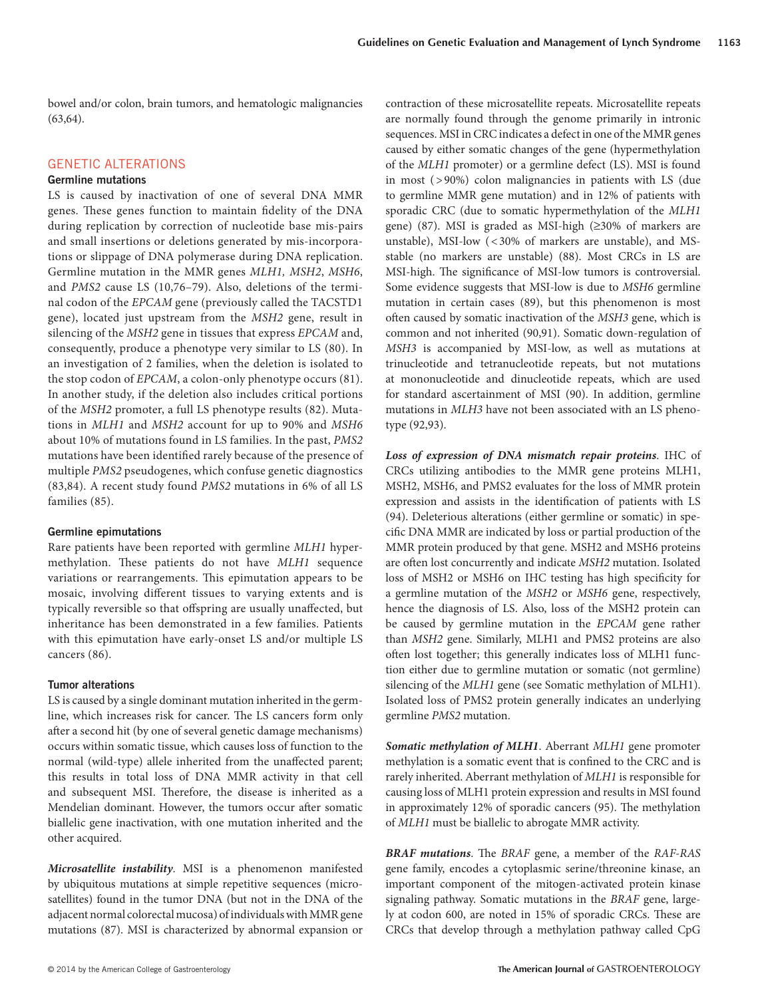bowel and/or colon, brain tumors, and hematologic malignancies  $(63,64)$ .

## GENETIC ALTERATIONS

# **Germline mutations**

 LS is caused by inactivation of one of several DNA MMR genes. These genes function to maintain fidelity of the DNA during replication by correction of nucleotide base mis-pairs and small insertions or deletions generated by mis-incorporations or slippage of DNA polymerase during DNA replication. Germline mutation in the MMR genes *MLH1*, *MSH2*, *MSH6*, and *PMS2* cause LS (10,76-79). Also, deletions of the terminal codon of the *EPCAM* gene (previously called the TACSTD1 gene), located just upstream from the *MSH2* gene, result in silencing of the *MSH2* gene in tissues that express *EPCAM* and, consequently, produce a phenotype very similar to LS (80). In an investigation of 2 families, when the deletion is isolated to the stop codon of *EPCAM*, a colon-only phenotype occurs (81). In another study, if the deletion also includes critical portions of the *MSH2* promoter, a full LS phenotype results (82). Mutations in *MLH1* and *MSH2* account for up to 90% and *MSH6* about 10 % of mutations found in LS families. In the past, *PMS2* mutations have been identified rarely because of the presence of multiple *PMS2* pseudogenes, which confuse genetic diagnostics (83,84). A recent study found *PMS2* mutations in 6% of all LS families (85).

### **Germline epimutations**

 Rare patients have been reported with germline *MLH1* hypermethylation. These patients do not have *MLH1* sequence variations or rearrangements. This epimutation appears to be mosaic, involving different tissues to varying extents and is typically reversible so that offspring are usually unaffected, but inheritance has been demonstrated in a few families. Patients with this epimutation have early-onset LS and/or multiple LS cancers (86).

## **Tumor alterations**

 LS is caused by a single dominant mutation inherited in the germline, which increases risk for cancer. The LS cancers form only after a second hit (by one of several genetic damage mechanisms) occurs within somatic tissue, which causes loss of function to the normal (wild-type) allele inherited from the unaffected parent; this results in total loss of DNA MMR activity in that cell and subsequent MSI. Therefore, the disease is inherited as a Mendelian dominant. However, the tumors occur after somatic biallelic gene inactivation, with one mutation inherited and the other acquired.

*Microsatellite instability* . MSI is a phenomenon manifested by ubiquitous mutations at simple repetitive sequences (microsatellites) found in the tumor DNA (but not in the DNA of the adjacent normal colorectal mucosa) of individuals with MMR gene mutations (87). MSI is characterized by abnormal expansion or contraction of these microsatellite repeats. Microsatellite repeats are normally found through the genome primarily in intronic sequences. MSI in CRC indicates a defect in one of the MMR genes caused by either somatic changes of the gene (hypermethylation of the *MLH1* promoter) or a germline defect (LS). MSI is found in most  $( > 90\%)$  colon malignancies in patients with LS (due to germline MMR gene mutation) and in 12% of patients with sporadic CRC (due to somatic hypermethylation of the *MLH1* gene) (87). MSI is graded as MSI-high ( $\geq$ 30% of markers are unstable), MSI-low  $( $30\%$  of markers are unstable)$ , and MSstable (no markers are unstable) (88). Most CRCs in LS are MSI-high. The significance of MSI-low tumors is controversial. Some evidence suggests that MSI-low is due to *MSH6* germline mutation in certain cases (89), but this phenomenon is most often caused by somatic inactivation of the *MSH3* gene, which is common and not inherited (90,91). Somatic down-regulation of *MSH3* is accompanied by MSI-low, as well as mutations at trinucleotide and tetranucleotide repeats, but not mutations at mononucleotide and dinucleotide repeats, which are used for standard ascertainment of MSI (90). In addition, germline mutations in *MLH3* have not been associated with an LS phenotype (92,93).

*Loss of expression of DNA mismatch repair proteins* . IHC of CRCs utilizing antibodies to the MMR gene proteins MLH1, MSH2, MSH6, and PMS2 evaluates for the loss of MMR protein expression and assists in the identification of patients with LS (94). Deleterious alterations (either germline or somatic) in specific DNA MMR are indicated by loss or partial production of the MMR protein produced by that gene. MSH2 and MSH6 proteins are often lost concurrently and indicate MSH2 mutation. Isolated loss of MSH2 or MSH6 on IHC testing has high specificity for a germline mutation of the *MSH2* or *MSH6* gene, respectively, hence the diagnosis of LS. Also, loss of the MSH2 protein can be caused by germline mutation in the *EPCAM* gene rather than *MSH2* gene. Similarly, MLH1 and PMS2 proteins are also often lost together; this generally indicates loss of MLH1 function either due to germline mutation or somatic (not germline) silencing of the *MLH1* gene (see Somatic methylation of MLH1). Isolated loss of PMS2 protein generally indicates an underlying germline *PMS2* mutation.

*Somatic methylation of MLH1* . Aberrant *MLH1* gene promoter methylation is a somatic event that is confined to the CRC and is rarely inherited. Aberrant methylation of *MLH1* is responsible for causing loss of MLH1 protein expression and results in MSI found in approximately 12% of sporadic cancers (95). The methylation of *MLH1* must be biallelic to abrogate MMR activity.

*BRAF mutations*. The *BRAF* gene, a member of the *RAF-RAS* gene family, encodes a cytoplasmic serine/threonine kinase, an important component of the mitogen-activated protein kinase signaling pathway. Somatic mutations in the *BRAF* gene, largely at codon 600, are noted in 15% of sporadic CRCs. These are CRCs that develop through a methylation pathway called CpG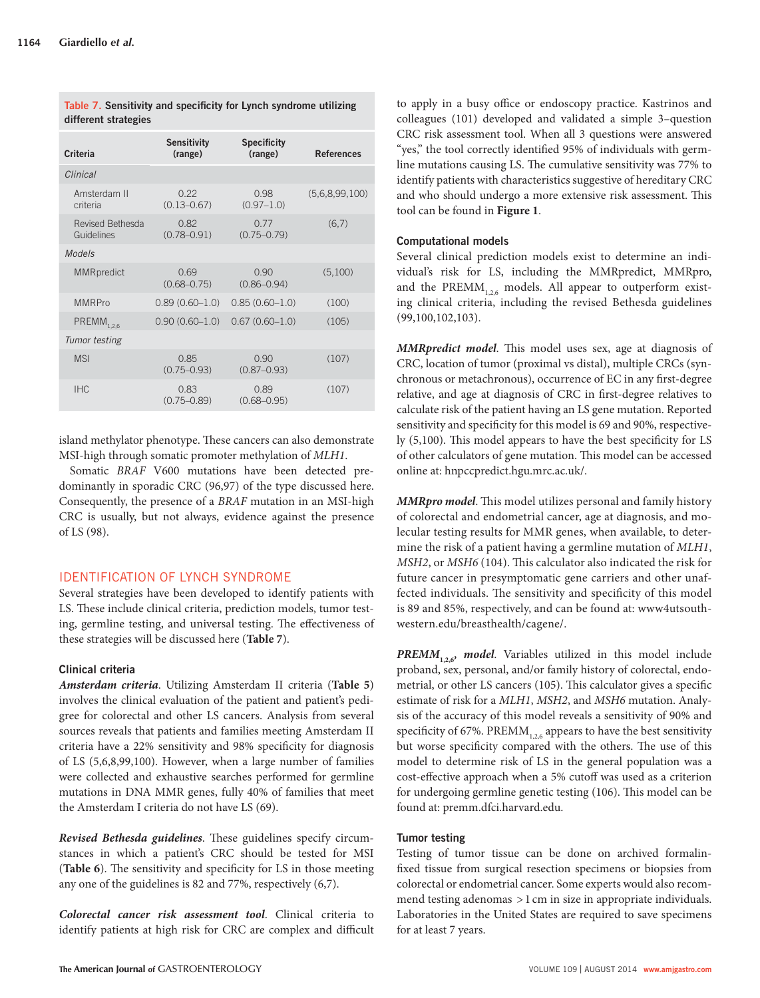| Criteria                              | <b>Sensitivity</b><br>(range) | <b>Specificity</b><br>(range)  | <b>References</b> |
|---------------------------------------|-------------------------------|--------------------------------|-------------------|
| Clinical                              |                               |                                |                   |
| Amsterdam II<br>criteria              | 0.22<br>$(0.13 - 0.67)$       | 0.98<br>$(0.97 - 1.0)$         | (5,6,8,99,100)    |
| <b>Revised Bethesda</b><br>Guidelines | 0.82<br>$(0.78 - 0.91)$       | 0.77<br>$(0.75 - 0.79)$        | (6,7)             |
| Models                                |                               |                                |                   |
| <b>MMRpredict</b>                     | 0.69<br>$(0.68 - 0.75)$       | <u>N</u> 90<br>$(0.86 - 0.94)$ | (5,100)           |
| <b>MMRPro</b>                         | $0.89(0.60 - 1.0)$            | $0.85(0.60 - 1.0)$             | (100)             |
| $PREMM$ <sub>1.2.6</sub>              | $0.90(0.60 - 1.0)$            | $0.67(0.60-1.0)$               | (105)             |
| Tumor testing                         |                               |                                |                   |
| <b>MSI</b>                            | 0.85<br>$(0.75 - 0.93)$       | <u>N</u> 90<br>$(0.87 - 0.93)$ | (107)             |
| <b>IHC</b>                            | 0.83<br>$(0.75 - 0.89)$       | 0.89<br>$(0.68 - 0.95)$        | (107)             |

Table 7. Sensitivity and specificity for Lynch syndrome utilizing **different strategies** 

island methylator phenotype. These cancers can also demonstrate MSI-high through somatic promoter methylation of *MLH1* .

 Somatic *BRAF* V600 mutations have been detected predominantly in sporadic CRC (96,97) of the type discussed here. Consequently, the presence of a *BRAF* mutation in an MSI-high CRC is usually, but not always, evidence against the presence of LS (98).

# IDENTIFICATION OF LYNCH SYNDROME

 Several strategies have been developed to identify patients with LS. These include clinical criteria, prediction models, tumor testing, germline testing, and universal testing. The effectiveness of these strategies will be discussed here (Table 7).

# **Clinical criteria**

*Amsterdam criteria* . Utilizing Amsterdam II criteria ( **Table 5** ) involves the clinical evaluation of the patient and patient's pedigree for colorectal and other LS cancers. Analysis from several sources reveals that patients and families meeting Amsterdam II criteria have a 22% sensitivity and 98% specificity for diagnosis of LS (5,6,8,99,100). However, when a large number of families were collected and exhaustive searches performed for germline mutations in DNA MMR genes, fully 40% of families that meet the Amsterdam I criteria do not have LS (69).

*Revised Bethesda guidelines*. These guidelines specify circumstances in which a patient's CRC should be tested for MSI (Table 6). The sensitivity and specificity for LS in those meeting any one of the guidelines is 82 and 77%, respectively  $(6,7)$ .

*Colorectal cancer risk assessment tool* . Clinical criteria to identify patients at high risk for CRC are complex and difficult

to apply in a busy office or endoscopy practice. Kastrinos and colleagues (101) developed and validated a simple 3-question CRC risk assessment tool. When all 3 questions were answered " yes," the tool correctly identified 95% of individuals with germline mutations causing LS. The cumulative sensitivity was 77% to identify patients with characteristics suggestive of hereditary CRC and who should undergo a more extensive risk assessment. This tool can be found in **Figure 1** .

# **Computational models**

 Several clinical prediction models exist to determine an individual's risk for LS, including the MMRpredict, MMRpro, and the PREMM<sub>126</sub> models. All appear to outperform existing clinical criteria, including the revised Bethesda guidelines  $(99,100,102,103)$ .

*MMRpredict model*. This model uses sex, age at diagnosis of CRC, location of tumor (proximal vs distal), multiple CRCs (synchronous or metachronous), occurrence of EC in any first-degree relative, and age at diagnosis of CRC in first-degree relatives to calculate risk of the patient having an LS gene mutation. Reported sensitivity and specificity for this model is 69 and 90%, respectively  $(5,100)$ . This model appears to have the best specificity for LS of other calculators of gene mutation. This model can be accessed online at: hnpccpredict.hgu.mrc.ac.uk/.

*MMRpro model*. This model utilizes personal and family history of colorectal and endometrial cancer, age at diagnosis, and molecular testing results for MMR genes, when available, to determine the risk of a patient having a germline mutation of *MLH1* , *MSH2*, or *MSH6* (104). This calculator also indicated the risk for future cancer in presymptomatic gene carriers and other unaffected individuals. The sensitivity and specificity of this model is 89 and 85%, respectively, and can be found at: www4utsouthwestern.edu/breasthealth/cagene/.

**PREMM** $_{1,2,6}$ <sup>*, model.* Variables utilized in this model include</sup> proband, sex, personal, and/or family history of colorectal, endometrial, or other LS cancers (105). This calculator gives a specific estimate of risk for a *MLH1* , *MSH2* , and *MSH6* mutation. Analysis of the accuracy of this model reveals a sensitivity of 90% and specificity of 67%. PREMM $_{126}$  appears to have the best sensitivity but worse specificity compared with the others. The use of this model to determine risk of LS in the general population was a cost-effective approach when a 5% cutoff was used as a criterion for undergoing germline genetic testing (106). This model can be found at: premm.dfci.harvard.edu.

# **Tumor testing**

 Testing of tumor tissue can be done on archived formalinfixed tissue from surgical resection specimens or biopsies from colorectal or endometrial cancer. Some experts would also recommend testing adenomas > 1 cm in size in appropriate individuals. Laboratories in the United States are required to save specimens for at least 7 years.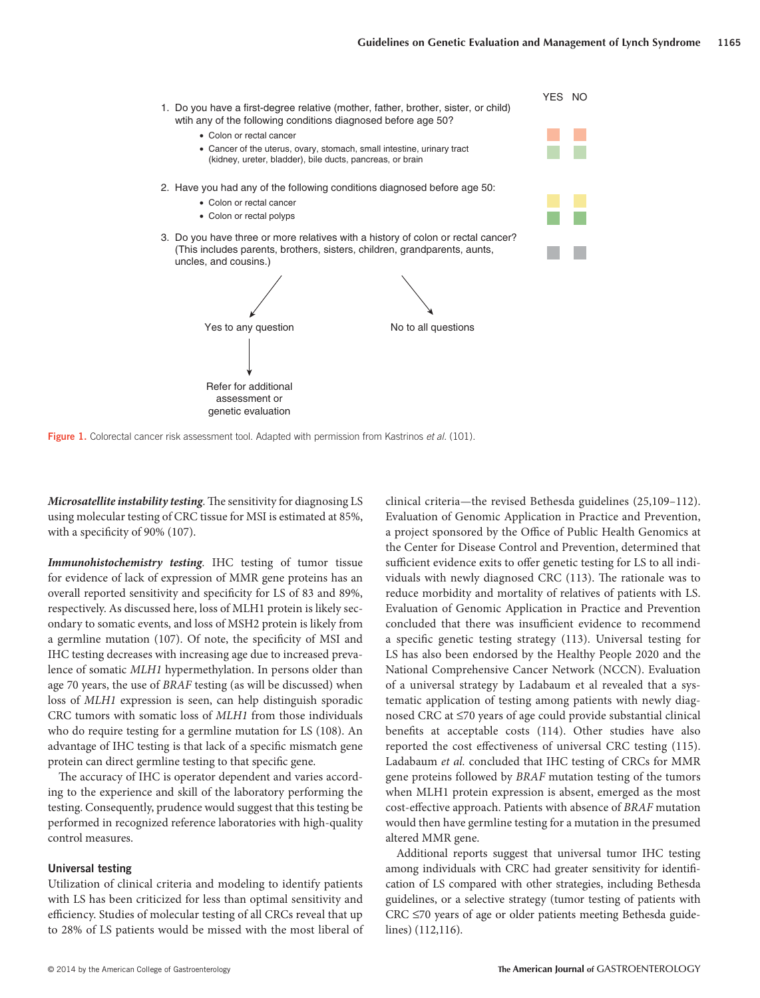

**Figure 1.** Colorectal cancer risk assessment tool. Adapted with permission from Kastrinos *et al.* (101).

*Microsatellite instability testing*. The sensitivity for diagnosing LS using molecular testing of CRC tissue for MSI is estimated at 85%, with a specificity of 90% (107).

*Immunohistochemistry testing* . IHC testing of tumor tissue for evidence of lack of expression of MMR gene proteins has an overall reported sensitivity and specificity for LS of 83 and 89%, respectively. As discussed here, loss of MLH1 protein is likely secondary to somatic events, and loss of MSH2 protein is likely from a germline mutation (107). Of note, the specificity of MSI and IHC testing decreases with increasing age due to increased prevalence of somatic *MLH1* hypermethylation. In persons older than age 70 years, the use of *BRAF* testing (as will be discussed) when loss of *MLH1* expression is seen, can help distinguish sporadic CRC tumors with somatic loss of *MLH1* from those individuals who do require testing for a germline mutation for LS (108). An advantage of IHC testing is that lack of a specific mismatch gene protein can direct germline testing to that specific gene.

The accuracy of IHC is operator dependent and varies according to the experience and skill of the laboratory performing the testing. Consequently, prudence would suggest that this testing be performed in recognized reference laboratories with high-quality control measures.

# **Universal testing**

 Utilization of clinical criteria and modeling to identify patients with LS has been criticized for less than optimal sensitivity and efficiency. Studies of molecular testing of all CRCs reveal that up to 28% of LS patients would be missed with the most liberal of clinical criteria-the revised Bethesda guidelines (25,109-112). Evaluation of Genomic Application in Practice and Prevention, a project sponsored by the Office of Public Health Genomics at the Center for Disease Control and Prevention, determined that sufficient evidence exits to offer genetic testing for LS to all individuals with newly diagnosed CRC (113). The rationale was to reduce morbidity and mortality of relatives of patients with LS. Evaluation of Genomic Application in Practice and Prevention concluded that there was insufficient evidence to recommend a specific genetic testing strategy (113). Universal testing for LS has also been endorsed by the Healthy People 2020 and the National Comprehensive Cancer Network (NCCN). Evaluation of a universal strategy by Ladabaum et al revealed that a systematic application of testing among patients with newly diagnosed CRC at ≤70 years of age could provide substantial clinical benefits at acceptable costs (114). Other studies have also reported the cost effectiveness of universal CRC testing (115). Ladabaum *et al.* concluded that IHC testing of CRCs for MMR gene proteins followed by *BRAF* mutation testing of the tumors when MLH1 protein expression is absent, emerged as the most cost-effective approach. Patients with absence of *BRAF* mutation would then have germline testing for a mutation in the presumed altered MMR gene.

 Additional reports suggest that universal tumor IHC testing among individuals with CRC had greater sensitivity for identification of LS compared with other strategies, including Bethesda guidelines, or a selective strategy (tumor testing of patients with CRC ≤70 years of age or older patients meeting Bethesda guide $lines)$  (112,116).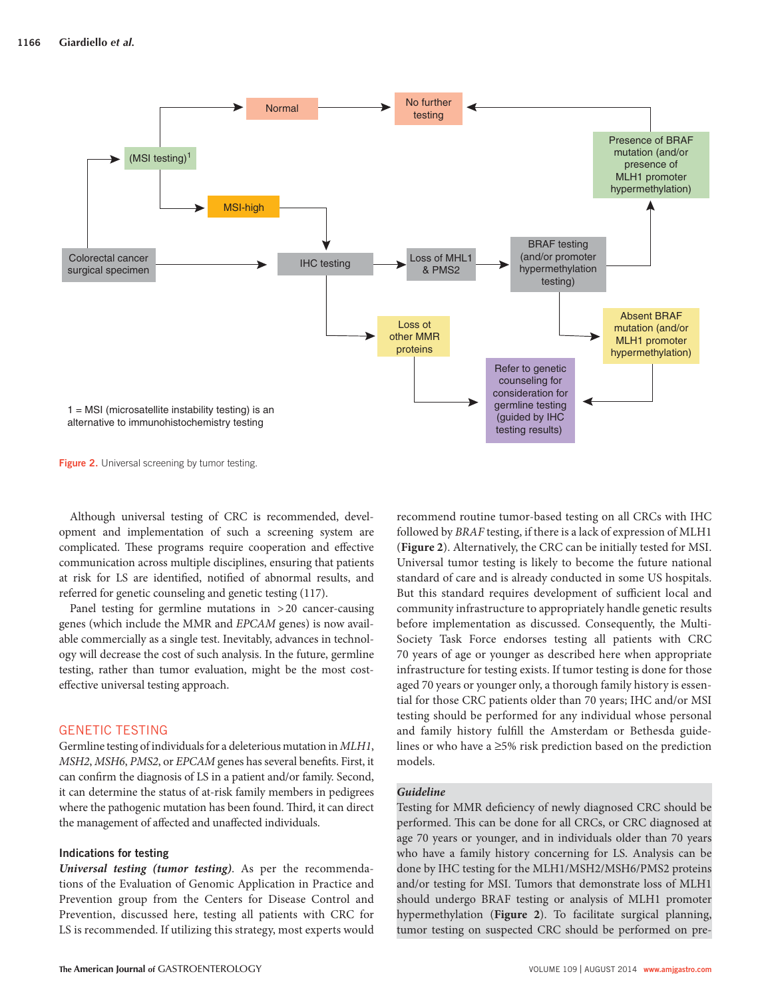

**Figure 2.** Universal screening by tumor testing.

 Although universal testing of CRC is recommended, development and implementation of such a screening system are complicated. These programs require cooperation and effective communication across multiple disciplines, ensuring that patients at risk for LS are identified, notified of abnormal results, and referred for genetic counseling and genetic testing (117).

 Panel testing for germline mutations in > 20 cancer-causing genes (which include the MMR and *EPCAM* genes) is now available commercially as a single test. Inevitably, advances in technology will decrease the cost of such analysis. In the future, germline testing, rather than tumor evaluation, might be the most costeffective universal testing approach.

# GENETIC TESTING

 Germline testing of individuals for a deleterious mutation in *MLH1* , *MSH2*, *MSH6*, *PMS2*, or *EPCAM* genes has several benefits. First, it can confirm the diagnosis of LS in a patient and/or family. Second, it can determine the status of at-risk family members in pedigrees where the pathogenic mutation has been found. Third, it can direct the management of affected and unaffected individuals.

### **Indications for testing**

*Universal testing (tumor testing)* . As per the recommendations of the Evaluation of Genomic Application in Practice and Prevention group from the Centers for Disease Control and Prevention, discussed here, testing all patients with CRC for LS is recommended. If utilizing this strategy, most experts would

followed by *BRAF* testing, if there is a lack of expression of MLH1 ( **Figure 2** ). Alternatively, the CRC can be initially tested for MSI. Universal tumor testing is likely to become the future national standard of care and is already conducted in some US hospitals. But this standard requires development of sufficient local and community infrastructure to appropriately handle genetic results before implementation as discussed. Consequently, the Multi-Society Task Force endorses testing all patients with CRC 70 years of age or younger as described here when appropriate infrastructure for testing exists. If tumor testing is done for those aged 70 years or younger only, a thorough family history is essential for those CRC patients older than 70 years; IHC and/or MSI testing should be performed for any individual whose personal and family history fulfill the Amsterdam or Bethesda guidelines or who have a  $\geq$ 5% risk prediction based on the prediction models.

recommend routine tumor-based testing on all CRCs with IHC

# *Guideline*

Testing for MMR deficiency of newly diagnosed CRC should be performed. This can be done for all CRCs, or CRC diagnosed at age 70 years or younger, and in individuals older than 70 years who have a family history concerning for LS. Analysis can be done by IHC testing for the MLH1/MSH2/MSH6/PMS2 proteins and/or testing for MSI. Tumors that demonstrate loss of MLH1 should undergo BRAF testing or analysis of MLH1 promoter hypermethylation (Figure 2). To facilitate surgical planning, tumor testing on suspected CRC should be performed on pre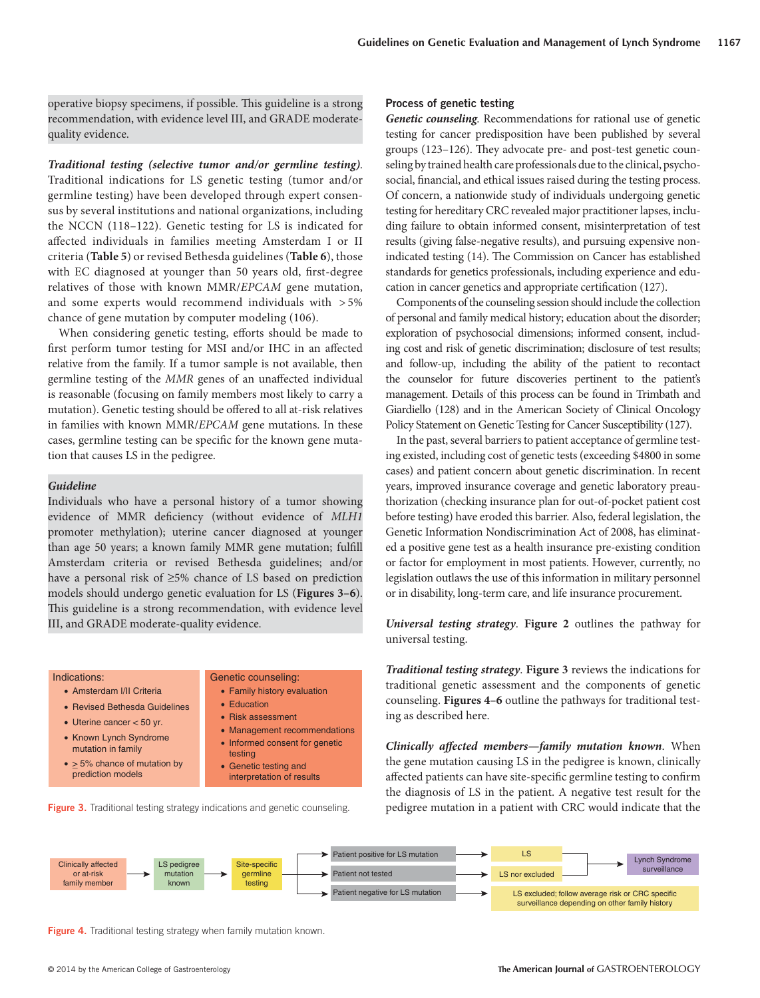operative biopsy specimens, if possible. This guideline is a strong recommendation, with evidence level III, and GRADE moderatequality evidence.

**Traditional testing (selective tumor and/or germline testing).** Traditional indications for LS genetic testing (tumor and/or germline testing) have been developed through expert consensus by several institutions and national organizations, including the NCCN (118-122). Genetic testing for LS is indicated for affected individuals in families meeting Amsterdam I or II criteria ( **Table 5** ) or revised Bethesda guidelines ( **Table 6** ), those with EC diagnosed at younger than 50 years old, first-degree relatives of those with known MMR/*EPCAM* gene mutation, and some experts would recommend individuals with  $>5\%$ chance of gene mutation by computer modeling (106).

When considering genetic testing, efforts should be made to first perform tumor testing for MSI and/or IHC in an affected relative from the family. If a tumor sample is not available, then germline testing of the *MMR* genes of an unaffected individual is reasonable (focusing on family members most likely to carry a mutation). Genetic testing should be offered to all at-risk relatives in families with known MMR/*EPCAM* gene mutations. In these cases, germline testing can be specific for the known gene mutation that causes LS in the pedigree.

### *Guideline*

 Individuals who have a personal history of a tumor showing evidence of MMR deficiency (without evidence of *MLH1* promoter methylation); uterine cancer diagnosed at younger than age 50 years; a known family MMR gene mutation; fulfill Amsterdam criteria or revised Bethesda guidelines; and/or have a personal risk of  $\geq$ 5% chance of LS based on prediction models should undergo genetic evaluation for LS (Figures 3-6). This guideline is a strong recommendation, with evidence level III, and GRADE moderate-quality evidence.

#### Indications:

- Amsterdam I/II Criteria
- Revised Bethesda Guidelines
- Uterine cancer < 50 yr.
- Known Lynch Syndrome mutation in family
- $\bullet$  > 5% chance of mutation by prediction models

#### Genetic counseling:

- Family history evaluation
- Education
	- Risk assessment
	- Management recommendations
	- Informed consent for genetic testing
	- Genetic testing and
	- interpretation of results

**Figure 3.** Traditional testing strategy indications and genetic counseling.

### **Process of genetic testing**

*Genetic counseling.* Recommendations for rational use of genetic testing for cancer predisposition have been published by several groups  $(123-126)$ . They advocate pre- and post-test genetic counseling by trained health care professionals due to the clinical, psychosocial, financial, and ethical issues raised during the testing process. Of concern, a nationwide study of individuals undergoing genetic testing for hereditary CRC revealed major practitioner lapses, including failure to obtain informed consent, misinterpretation of test results (giving false-negative results), and pursuing expensive nonindicated testing (14). The Commission on Cancer has established standards for genetics professionals, including experience and education in cancer genetics and appropriate certification (127).

 Components of the counseling session should include the collection of personal and family medical history; education about the disorder; exploration of psychosocial dimensions; informed consent, including cost and risk of genetic discrimination; disclosure of test results; and follow-up, including the ability of the patient to recontact the counselor for future discoveries pertinent to the patient's manage ment. Details of this process can be found in Trimbath and Giardiello (128) and in the American Society of Clinical Oncology Policy Statement on Genetic Testing for Cancer Susceptibility (127).

 In the past, several barriers to patient acceptance of germline testing existed, including cost of genetic tests (exceeding \$4800 in some cases) and patient concern about genetic discrimination. In recent years, improved insurance coverage and genetic laboratory preauthorization (checking insurance plan for out-of-pocket patient cost before testing) have eroded this barrier. Also, federal legislation, the Genetic Information Nondiscrimination Act of 2008, has eliminated a positive gene test as a health insurance pre-existing condition or factor for employment in most patients. However, currently, no legislation outlaws the use of this information in military personnel or in disability, long-term care, and life insurance procurement.

*Universal testing strategy* . **Figure 2** outlines the pathway for universal testing.

*Traditional testing strategy* . **Figure 3** reviews the indications for traditional genetic assessment and the components of genetic counseling. **Figures 4-6** outline the pathways for traditional testing as described here.

*Clinically affected members-family mutation known.* **When** the gene mutation causing LS in the pedigree is known, clinically affected patients can have site-specific germline testing to confirm the diagnosis of LS in the patient. A negative test result for the pedigree mutation in a patient with CRC would indicate that the



Figure 4. Traditional testing strategy when family mutation known.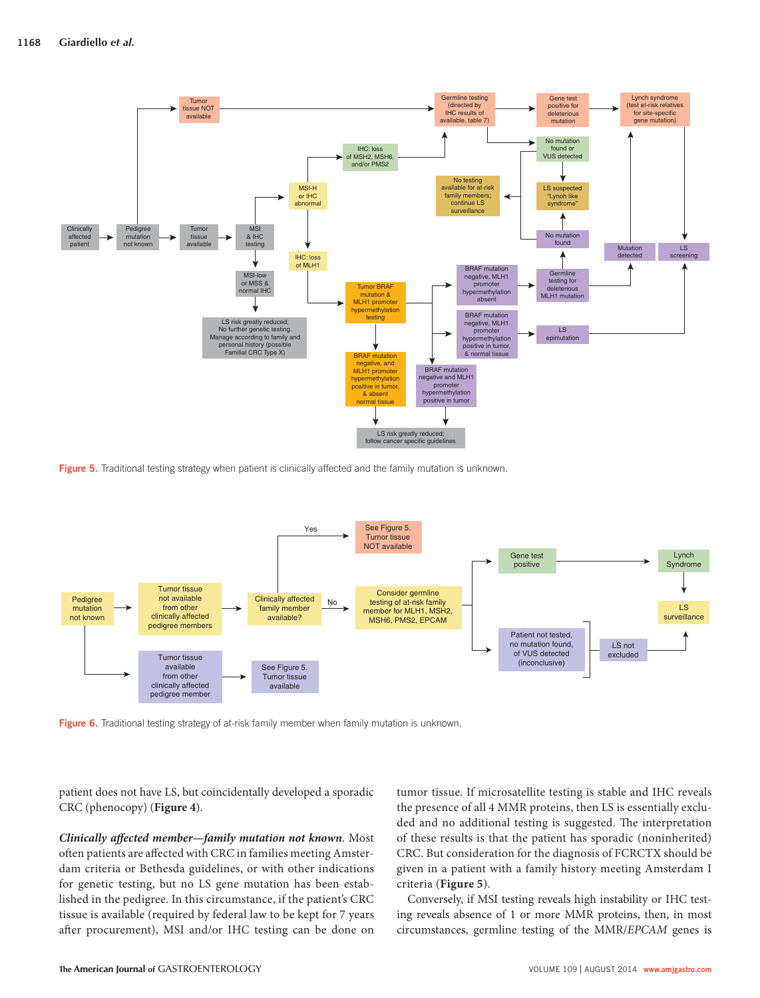

**Figure 5.** Traditional testing strategy when patient is clinically affected and the family mutation is unknown.



Figure 6. Traditional testing strategy of at-risk family member when family mutation is unknown.

patient does not have LS, but coincidentally developed a sporadic CRC (phenocopy) ( **Figure 4** ).

*Clinically affected member-family mutation not known.* Most often patients are affected with CRC in families meeting Amsterdam criteria or Bethesda guidelines, or with other indications for genetic testing, but no LS gene mutation has been established in the pedigree. In this circumstance, if the patient's CRC tissue is available (required by federal law to be kept for 7 years after procurement), MSI and/or IHC testing can be done on

tumor tissue. If microsatellite testing is stable and IHC reveals the presence of all 4 MMR proteins, then LS is essentially excluded and no additional testing is suggested. The interpretation of these results is that the patient has sporadic (noninherited) CRC. But consideration for the diagnosis of FCRCTX should be given in a patient with a family history meeting Amsterdam I criteria ( **Figure 5** ).

 Conversely, if MSI testing reveals high instability or IHC testing reveals absence of 1 or more MMR proteins, then, in most circumstances, germline testing of the MMR/*EPCAM* genes is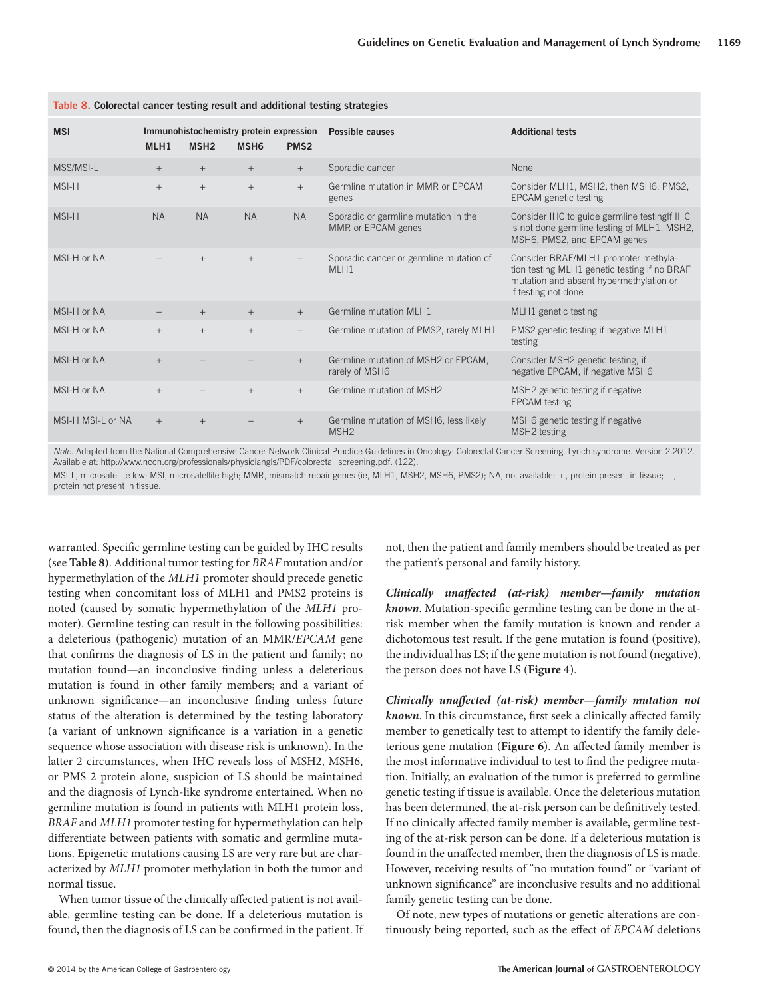| <b>MSI</b>        | MLH1      | MSH <sub>2</sub> | Immunohistochemistry protein expression<br>MSH <sub>6</sub> | PMS <sub>2</sub> | Possible causes                                            | <b>Additional tests</b>                                                                                                                                |
|-------------------|-----------|------------------|-------------------------------------------------------------|------------------|------------------------------------------------------------|--------------------------------------------------------------------------------------------------------------------------------------------------------|
| MSS/MSI-L         | $+$       | $^{+}$           | $+$                                                         | $+$              | Sporadic cancer                                            | None                                                                                                                                                   |
| MSI-H             | $+$       | $^{+}$           | $+$                                                         | $+$              | Germline mutation in MMR or EPCAM<br>genes                 | Consider MLH1, MSH2, then MSH6, PMS2,<br>EPCAM genetic testing                                                                                         |
| MSI-H             | <b>NA</b> | <b>NA</b>        | <b>NA</b>                                                   | <b>NA</b>        | Sporadic or germline mutation in the<br>MMR or EPCAM genes | Consider IHC to guide germline testing If IHC<br>is not done germline testing of MLH1, MSH2,<br>MSH6, PMS2, and EPCAM genes                            |
| MSI-H or NA       |           | $+$              | $+$                                                         |                  | Sporadic cancer or germline mutation of<br>MLH1            | Consider BRAF/MLH1 promoter methyla-<br>tion testing MLH1 genetic testing if no BRAF<br>mutation and absent hypermethylation or<br>if testing not done |
| MSI-H or NA       |           |                  | $+$                                                         | $+$              | Germline mutation MLH1                                     | MLH1 genetic testing                                                                                                                                   |
| MSI-H or NA       | $^{+}$    | $+$              | $+$                                                         |                  | Germline mutation of PMS2, rarely MLH1                     | PMS2 genetic testing if negative MLH1<br>testing                                                                                                       |
| MSI-H or NA       | $+$       |                  |                                                             | $+$              | Germline mutation of MSH2 or EPCAM,<br>rarely of MSH6      | Consider MSH2 genetic testing, if<br>negative EPCAM, if negative MSH6                                                                                  |
| MSI-H or NA       | $+$       |                  | $+$                                                         | $+$              | Germline mutation of MSH2                                  | MSH2 genetic testing if negative<br><b>EPCAM</b> testing                                                                                               |
| MSI-H MSI-L or NA | $+$       | $+$              |                                                             | $+$              | Germline mutation of MSH6, less likely<br>MSH <sub>2</sub> | MSH6 genetic testing if negative<br>MSH2 testing                                                                                                       |
|                   |           |                  |                                                             |                  |                                                            |                                                                                                                                                        |

**Table 8 . Colorectal cancer testing result and additional testing strategies** 

*Note*. Adapted from the National Comprehensive Cancer Network Clinical Practice Guidelines in Oncology: Colorectal Cancer Screening. Lynch syndrome. Version 2.2012. Available at: http://www.nccn.org/professionals/physiciangls/PDF/colorectal\_screening.pdf. (122).

MSI-L, microsatellite low; MSI, microsatellite high; MMR, mismatch repair genes (ie, MLH1, MSH2, MSH6, PMS2); NA, not available; +, protein present in tissue; -, protein not present in tissue.

warranted. Specific germline testing can be guided by IHC results (see **Table 8** ). Additional tumor testing for *BRAF* mutation and / or hypermethylation of the *MLH1* promoter should precede genetic testing when concomitant loss of MLH1 and PMS2 proteins is noted (caused by somatic hypermethylation of the *MLH1* promoter). Germline testing can result in the following possibilities: a deleterious (pathogenic) mutation of an MMR/*EPCAM* gene that confirms the diagnosis of LS in the patient and family; no mutation found—an inconclusive finding unless a deleterious mutation is found in other family members; and a variant of unknown significance-an inconclusive finding unless future status of the alteration is determined by the testing laboratory (a variant of unknown significance is a variation in a genetic sequence whose association with disease risk is unknown). In the latter 2 circumstances, when IHC reveals loss of MSH2, MSH6, or PMS 2 protein alone, suspicion of LS should be maintained and the diagnosis of Lynch-like syndrome entertained. When no germline mutation is found in patients with MLH1 protein loss, *BRAF* and *MLH1* promoter testing for hypermethylation can help differentiate between patients with somatic and germline mutations. Epigenetic mutations causing LS are very rare but are characterized by *MLH1* promoter methylation in both the tumor and normal tissue.

When tumor tissue of the clinically affected patient is not available, germline testing can be done. If a deleterious mutation is found, then the diagnosis of LS can be confirmed in the patient. If not, then the patient and family members should be treated as per the patient's personal and family history.

*Clinically unaffected (at-risk) member-family mutation known*. Mutation-specific germline testing can be done in the atrisk member when the family mutation is known and render a dichotomous test result. If the gene mutation is found (positive), the individual has LS; if the gene mutation is not found (negative), the person does not have LS ( **Figure 4** ).

*Clinically unaffected (at-risk) member—family mutation not* known. In this circumstance, first seek a clinically affected family member to genetically test to attempt to identify the family deleterious gene mutation (Figure 6). An affected family member is the most informative individual to test to find the pedigree mutation. Initially, an evaluation of the tumor is preferred to germline genetic testing if tissue is available. Once the deleterious mutation has been determined, the at-risk person can be definitively tested. If no clinically affected family member is available, germline testing of the at-risk person can be done. If a deleterious mutation is found in the unaffected member, then the diagnosis of LS is made. However, receiving results of "no mutation found" or "variant of unknown significance" are inconclusive results and no additional family genetic testing can be done.

 Of note, new types of mutations or genetic alterations are continuously being reported, such as the effect of *EPCAM* deletions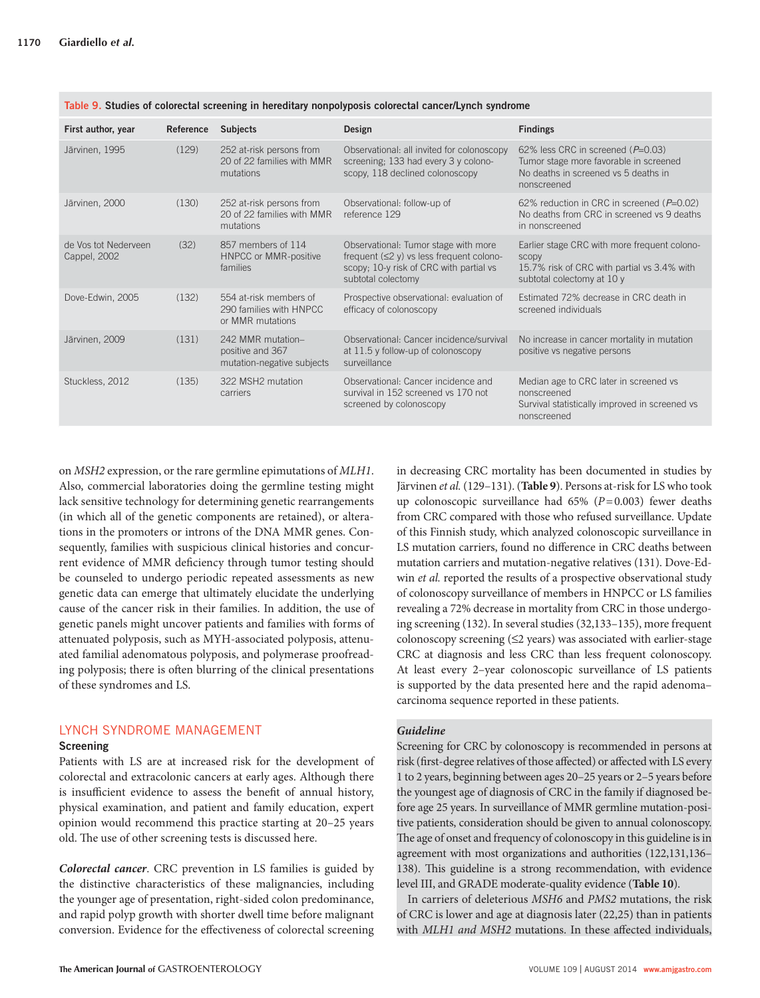| First author, year                   | Reference | <b>Subjects</b>                                                       | Design                                                                                                                                                  | <b>Findings</b>                                                                                                                        |
|--------------------------------------|-----------|-----------------------------------------------------------------------|---------------------------------------------------------------------------------------------------------------------------------------------------------|----------------------------------------------------------------------------------------------------------------------------------------|
| Järvinen, 1995                       | (129)     | 252 at-risk persons from<br>20 of 22 families with MMR<br>mutations   | Observational: all invited for colonoscopy<br>screening; 133 had every 3 y colono-<br>scopy, 118 declined colonoscopy                                   | 62% less CRC in screened ( $P=0.03$ )<br>Tumor stage more favorable in screened<br>No deaths in screened vs 5 deaths in<br>nonscreened |
| Järvinen, 2000                       | (130)     | 252 at-risk persons from<br>20 of 22 families with MMR<br>mutations   | Observational: follow-up of<br>reference 129                                                                                                            | 62% reduction in CRC in screened ( $P=0.02$ )<br>No deaths from CRC in screened vs 9 deaths<br>in nonscreened                          |
| de Vos tot Nederveen<br>Cappel, 2002 | (32)      | 857 members of 114<br>HNPCC or MMR-positive<br>families               | Observational: Tumor stage with more<br>frequent $(\leq 2$ y) vs less frequent colono-<br>scopy; 10-y risk of CRC with partial vs<br>subtotal colectomy | Earlier stage CRC with more frequent colono-<br>SCODV<br>15.7% risk of CRC with partial vs 3.4% with<br>subtotal colectomy at 10 y     |
| Dove-Edwin, 2005                     | (132)     | 554 at-risk members of<br>290 families with HNPCC<br>or MMR mutations | Prospective observational: evaluation of<br>efficacy of colonoscopy                                                                                     | Estimated 72% decrease in CRC death in<br>screened individuals                                                                         |
| Järvinen, 2009                       | (131)     | 242 MMR mutation-<br>positive and 367<br>mutation-negative subjects   | Observational: Cancer incidence/survival<br>at 11.5 y follow-up of colonoscopy<br>surveillance                                                          | No increase in cancer mortality in mutation<br>positive vs negative persons                                                            |
| Stuckless, 2012                      | (135)     | 322 MSH2 mutation<br>carriers                                         | Observational: Cancer incidence and<br>survival in 152 screened vs 170 not<br>screened by colonoscopy                                                   | Median age to CRC later in screened vs<br>nonscreened<br>Survival statistically improved in screened vs<br>nonscreened                 |

Table 9. Studies of colorectal screening in hereditary nonpolyposis colorectal cancer/Lynch syndrome

on *MSH2* expression, or the rare germline epimutations of *MLH1* . Also, commercial laboratories doing the germline testing might lack sensitive technology for determining genetic rearrangements (in which all of the genetic components are retained), or alterations in the promoters or introns of the DNA MMR genes. Consequently, families with suspicious clinical histories and concurrent evidence of MMR deficiency through tumor testing should be counseled to undergo periodic repeated assessments as new genetic data can emerge that ultimately elucidate the underlying cause of the cancer risk in their families. In addition, the use of genetic panels might uncover patients and families with forms of attenuated polyposis, such as MYH-associated polyposis, attenuated familial adenomatous polyposis, and polymerase proofreading polyposis; there is often blurring of the clinical presentations of these syndromes and LS.

# LYNCH SYNDROME MANAGEMENT

### **Screening**

 Patients with LS are at increased risk for the development of colorectal and extracolonic cancers at early ages. Although there is insufficient evidence to assess the benefit of annual history, physical examination, and patient and family education, expert opinion would recommend this practice starting at 20-25 years old. The use of other screening tests is discussed here.

*Colorectal cancer* . CRC prevention in LS families is guided by the distinctive characteristics of these malignancies, including the younger age of presentation, right-sided colon predominance, and rapid polyp growth with shorter dwell time before malignant conversion. Evidence for the effectiveness of colorectal screening

**The American Journal of** GASTROENTEROLOGY VOLUME 109 | AUGUST 2014 **www.amjgastro.com**

in decreasing CRC mortality has been documented in studies by Järvinen et al. (129-131). (Table 9). Persons at-risk for LS who took up colonoscopic surveillance had  $65\%$  ( $P=0.003$ ) fewer deaths from CRC compared with those who refused surveillance. Update of this Finnish study, which analyzed colonoscopic surveillance in LS mutation carriers, found no difference in CRC deaths between mutation carriers and mutation-negative relatives (131). Dove-Edwin *et al.* reported the results of a prospective observational study of colonoscopy surveillance of members in HNPCC or LS families revealing a 72% decrease in mortality from CRC in those undergoing screening (132). In several studies (32,133–135), more frequent colonoscopy screening  $(≤2$  years) was associated with earlier-stage CRC at diagnosis and less CRC than less frequent colonoscopy. At least every 2-year colonoscopic surveillance of LS patients is supported by the data presented here and the rapid adenoma – carcinoma sequence reported in these patients.

# *Guideline*

 Screening for CRC by colonoscopy is recommended in persons at risk (first-degree relatives of those affected) or affected with LS every 1 to 2 years, beginning between ages 20 – 25 years or 2 – 5 years before the youngest age of diagnosis of CRC in the family if diagnosed before age 25 years. In surveillance of MMR germline mutation-positive patients, consideration should be given to annual colonoscopy. The age of onset and frequency of colonoscopy in this guideline is in agreement with most organizations and authorities ( 122,131,136 – 138). This guideline is a strong recommendation, with evidence level III, and GRADE moderate-quality evidence ( **Table 10** ).

 In carriers of deleterious *MSH6* and *PMS2* mutations, the risk of CRC is lower and age at diagnosis later (22,25) than in patients with *MLH1 and MSH2* mutations. In these affected individuals,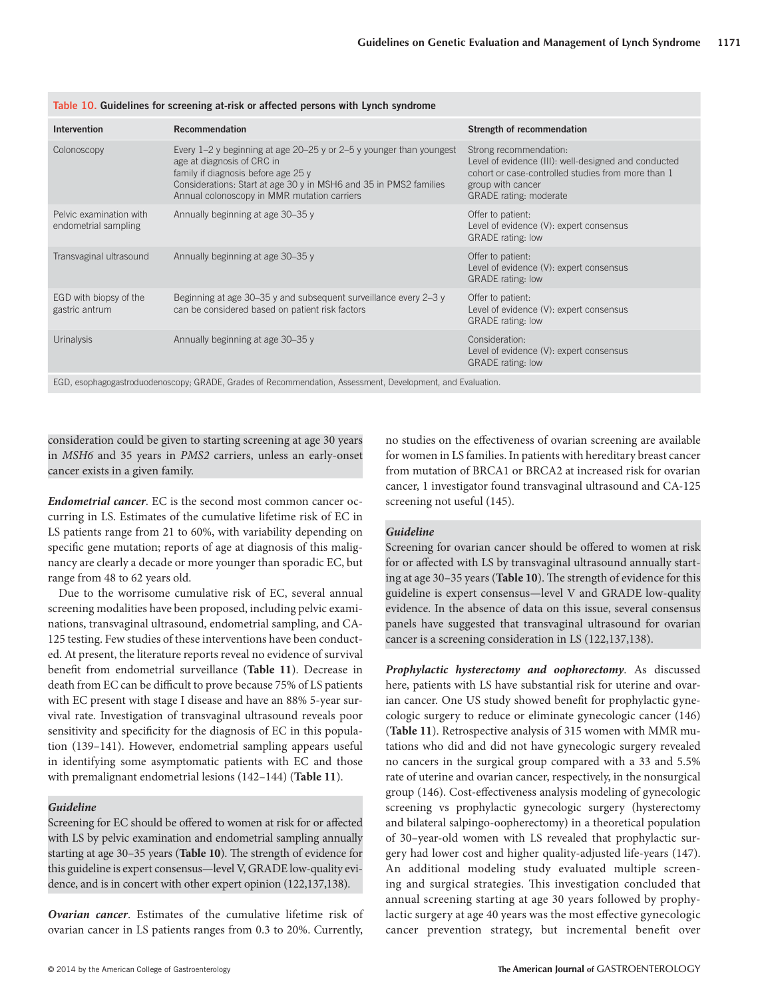| <b>Intervention</b>                             | Recommendation                                                                                                                                                                                                                                                     | Strength of recommendation                                                                                                                                                                 |
|-------------------------------------------------|--------------------------------------------------------------------------------------------------------------------------------------------------------------------------------------------------------------------------------------------------------------------|--------------------------------------------------------------------------------------------------------------------------------------------------------------------------------------------|
| Colonoscopy                                     | Every $1-2$ y beginning at age $20-25$ y or $2-5$ y younger than youngest<br>age at diagnosis of CRC in<br>family if diagnosis before age 25 y<br>Considerations: Start at age 30 y in MSH6 and 35 in PMS2 families<br>Annual colonoscopy in MMR mutation carriers | Strong recommendation:<br>Level of evidence (III): well-designed and conducted<br>cohort or case-controlled studies from more than 1<br>group with cancer<br><b>GRADE</b> rating: moderate |
| Pelvic examination with<br>endometrial sampling | Annually beginning at age 30-35 y                                                                                                                                                                                                                                  | Offer to patient:<br>Level of evidence (V): expert consensus<br><b>GRADE</b> rating: low                                                                                                   |
| Transvaginal ultrasound                         | Annually beginning at age 30-35 y                                                                                                                                                                                                                                  | Offer to patient:<br>Level of evidence (V): expert consensus<br><b>GRADE</b> rating: low                                                                                                   |
| EGD with biopsy of the<br>gastric antrum        | Beginning at age 30–35 y and subsequent surveillance every 2–3 y<br>can be considered based on patient risk factors                                                                                                                                                | Offer to patient:<br>Level of evidence (V): expert consensus<br><b>GRADE</b> rating: low                                                                                                   |
| <b>Urinalysis</b>                               | Annually beginning at age 30-35 y                                                                                                                                                                                                                                  | Consideration:<br>Level of evidence (V): expert consensus<br><b>GRADE</b> rating: low                                                                                                      |
|                                                 |                                                                                                                                                                                                                                                                    |                                                                                                                                                                                            |

**Table 10 . Guidelines for screening at-risk or affected persons with Lynch syndrome** 

EGD, esophagogastroduodenoscopy; GRADE, Grades of Recommendation, Assessment, Development, and Evaluation.

consideration could be given to starting screening at age 30 years in *MSH6* and 35 years in *PMS2* carriers, unless an early-onset cancer exists in a given family.

*Endometrial cancer* . EC is the second most common cancer occurring in LS. Estimates of the cumulative lifetime risk of EC in LS patients range from 21 to 60%, with variability depending on specific gene mutation; reports of age at diagnosis of this malignancy are clearly a decade or more younger than sporadic EC, but range from 48 to 62 years old.

 Due to the worrisome cumulative risk of EC, several annual screening modalities have been proposed, including pelvic examinations, transvaginal ultrasound, endometrial sampling, and CA-125 testing. Few studies of these interventions have been conducted. At present, the literature reports reveal no evidence of survival benefit from endometrial surveillance (Table 11). Decrease in death from EC can be difficult to prove because 75% of LS patients with EC present with stage I disease and have an 88% 5-year survival rate. Investigation of transvaginal ultrasound reveals poor sensitivity and specificity for the diagnosis of EC in this population (139-141). However, endometrial sampling appears useful in identifying some asymptomatic patients with EC and those with premalignant endometrial lesions (142-144) (Table 11).

## *Guideline*

Screening for EC should be offered to women at risk for or affected with LS by pelvic examination and endometrial sampling annually starting at age 30-35 years (Table 10). The strength of evidence for this guideline is expert consensus — level V, GRADE low-quality evidence, and is in concert with other expert opinion (122,137,138).

**Ovarian cancer**. Estimates of the cumulative lifetime risk of ovarian cancer in LS patients ranges from 0.3 to 20%. Currently, no studies on the effectiveness of ovarian screening are available for women in LS families. In patients with hereditary breast cancer from mutation of BRCA1 or BRCA2 at increased risk for ovarian cancer, 1 investigator found transvaginal ultrasound and CA-125 screening not useful (145).

# *Guideline*

Screening for ovarian cancer should be offered to women at risk for or affected with LS by transvaginal ultrasound annually starting at age 30–35 years (**Table 10**). The strength of evidence for this guideline is expert consensus — level V and GRADE low-quality evidence. In the absence of data on this issue, several consensus panels have suggested that transvaginal ultrasound for ovarian cancer is a screening consideration in LS (122,137,138).

*Prophylactic hysterectomy and oophorectomy* . As discussed here, patients with LS have substantial risk for uterine and ovarian cancer. One US study showed benefit for prophylactic gynecologic surgery to reduce or eliminate gynecologic cancer (146) ( **Table 11** ). Retrospective analysis of 315 women with MMR mutations who did and did not have gynecologic surgery revealed no cancers in the surgical group compared with a 33 and 5.5 % rate of uterine and ovarian cancer, respectively, in the nonsurgical group (146). Cost-effectiveness analysis modeling of gynecologic screening vs prophylactic gynecologic surgery (hysterectomy and bilateral salpingo-oopherectomy) in a theoretical population of 30 – year-old women with LS revealed that prophylactic surgery had lower cost and higher quality-adjusted life-years ( 147 ). An additional modeling study evaluated multiple screening and surgical strategies. This investigation concluded that annual screening starting at age 30 years followed by prophylactic surgery at age 40 years was the most effective gynecologic cancer prevention strategy, but incremental benefit over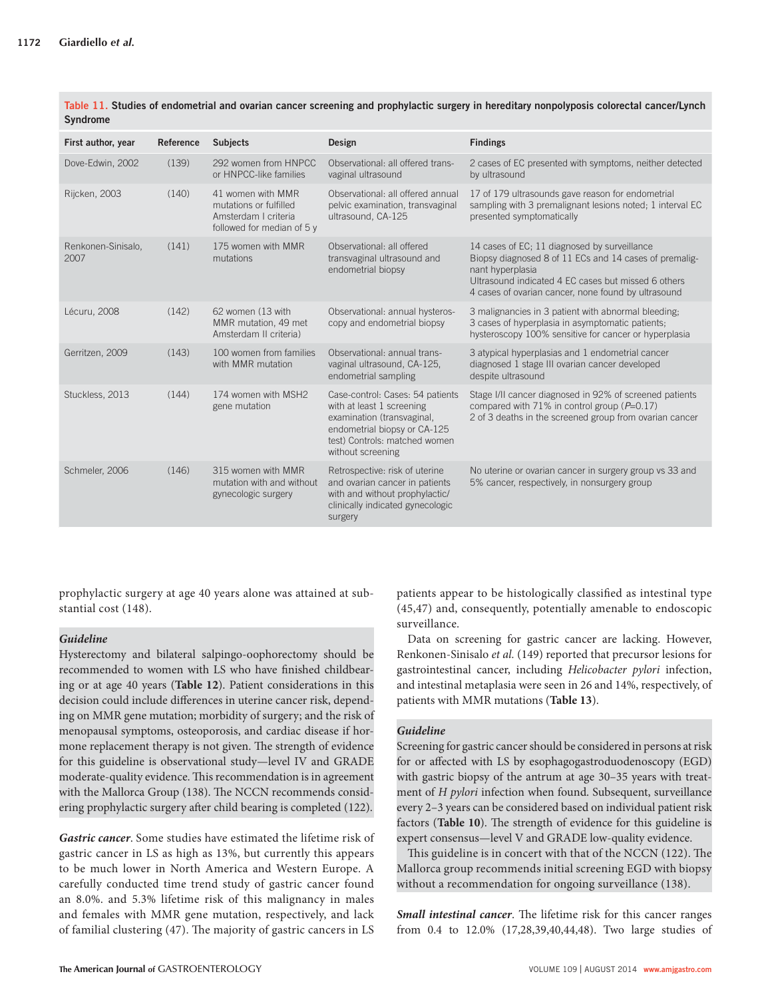| First author, year         | Reference | <b>Subjects</b>                                                                                   | Design                                                                                                                                                                            | <b>Findings</b>                                                                                                                                                                                                                          |
|----------------------------|-----------|---------------------------------------------------------------------------------------------------|-----------------------------------------------------------------------------------------------------------------------------------------------------------------------------------|------------------------------------------------------------------------------------------------------------------------------------------------------------------------------------------------------------------------------------------|
| Dove-Edwin, 2002           | (139)     | 292 women from HNPCC<br>or HNPCC-like families                                                    | Observational: all offered trans-<br>vaginal ultrasound                                                                                                                           | 2 cases of EC presented with symptoms, neither detected<br>by ultrasound                                                                                                                                                                 |
| Rijcken, 2003              | (140)     | 41 women with MMR<br>mutations or fulfilled<br>Amsterdam I criteria<br>followed for median of 5 y | Observational: all offered annual<br>pelvic examination, transvaginal<br>ultrasound, CA-125                                                                                       | 17 of 179 ultrasounds gave reason for endometrial<br>sampling with 3 premalignant lesions noted; 1 interval EC<br>presented symptomatically                                                                                              |
| Renkonen-Sinisalo,<br>2007 | (141)     | 175 women with MMR<br>mutations                                                                   | Observational: all offered<br>transvaginal ultrasound and<br>endometrial biopsy                                                                                                   | 14 cases of EC; 11 diagnosed by surveillance<br>Biopsy diagnosed 8 of 11 ECs and 14 cases of premalig-<br>nant hyperplasia<br>Ultrasound indicated 4 EC cases but missed 6 others<br>4 cases of ovarian cancer, none found by ultrasound |
| Lécuru, 2008               | (142)     | 62 women (13 with<br>MMR mutation, 49 met<br>Amsterdam II criteria)                               | Observational: annual hysteros-<br>copy and endometrial biopsy                                                                                                                    | 3 malignancies in 3 patient with abnormal bleeding;<br>3 cases of hyperplasia in asymptomatic patients;<br>hysteroscopy 100% sensitive for cancer or hyperplasia                                                                         |
| Gerritzen, 2009            | (143)     | 100 women from families<br>with MMR mutation                                                      | Observational: annual trans-<br>vaginal ultrasound, CA-125,<br>endometrial sampling                                                                                               | 3 atypical hyperplasias and 1 endometrial cancer<br>diagnosed 1 stage III ovarian cancer developed<br>despite ultrasound                                                                                                                 |
| Stuckless, 2013            | (144)     | 174 women with MSH2<br>gene mutation                                                              | Case-control: Cases: 54 patients<br>with at least 1 screening<br>examination (transvaginal,<br>endometrial biopsy or CA-125<br>test) Controls: matched women<br>without screening | Stage I/II cancer diagnosed in 92% of screened patients<br>compared with 71% in control group (P=0.17)<br>2 of 3 deaths in the screened group from ovarian cancer                                                                        |
| Schmeler, 2006             | (146)     | 315 women with MMR<br>mutation with and without<br>gynecologic surgery                            | Retrospective: risk of uterine<br>and ovarian cancer in patients<br>with and without prophylactic/<br>clinically indicated gynecologic<br>surgery                                 | No uterine or ovarian cancer in surgery group vs 33 and<br>5% cancer, respectively, in nonsurgery group                                                                                                                                  |

Table 11. Studies of endometrial and ovarian cancer screening and prophylactic surgery in hereditary nonpolyposis colorectal cancer/Lynch **Syndrome** 

prophylactic surgery at age 40 years alone was attained at substantial cost (148).

# *Guideline*

 Hysterectomy and bilateral salpingo-oophorectomy should be recommended to women with LS who have finished childbearing or at age 40 years ( **Table 12** ). Patient considerations in this decision could include differences in uterine cancer risk, depending on MMR gene mutation; morbidity of surgery; and the risk of menopausal symptoms, osteoporosis, and cardiac disease if hormone replacement therapy is not given. The strength of evidence for this guideline is observational study — level IV and GRADE moderate-quality evidence. This recommendation is in agreement with the Mallorca Group (138). The NCCN recommends considering prophylactic surgery after child bearing is completed (122).

*Gastric cancer* . Some studies have estimated the lifetime risk of gastric cancer in LS as high as 13%, but currently this appears to be much lower in North America and Western Europe. A carefully conducted time trend study of gastric cancer found an 8.0%. and 5.3% lifetime risk of this malignancy in males and females with MMR gene mutation, respectively, and lack of familial clustering (47). The majority of gastric cancers in LS

patients appear to be histologically classified as intestinal type ( 45,47 ) and, consequently, potentially amenable to endoscopic surveillance.

 Data on screening for gastric cancer are lacking. However, Renkonen-Sinisalo *et al.* ( 149 ) reported that precursor lesions for gastrointestinal cancer, including *Helicobacter pylori* infection, and intestinal metaplasia were seen in 26 and 14%, respectively, of patients with MMR mutations ( **Table 13** ).

# *Guideline*

Screening for gastric cancer should be considered in persons at risk for or affected with LS by esophagogastroduodenoscopy (EGD) with gastric biopsy of the antrum at age 30-35 years with treatment of *H pylori* infection when found. Subsequent, surveillance every 2–3 years can be considered based on individual patient risk factors (Table 10). The strength of evidence for this guideline is expert consensus — level V and GRADE low-quality evidence.

This guideline is in concert with that of the NCCN (122). The Mallorca group recommends initial screening EGD with biopsy without a recommendation for ongoing surveillance (138).

*Small intestinal cancer*. The lifetime risk for this cancer ranges from 0.4 to 12.0% (17,28,39,40,44,48). Two large studies of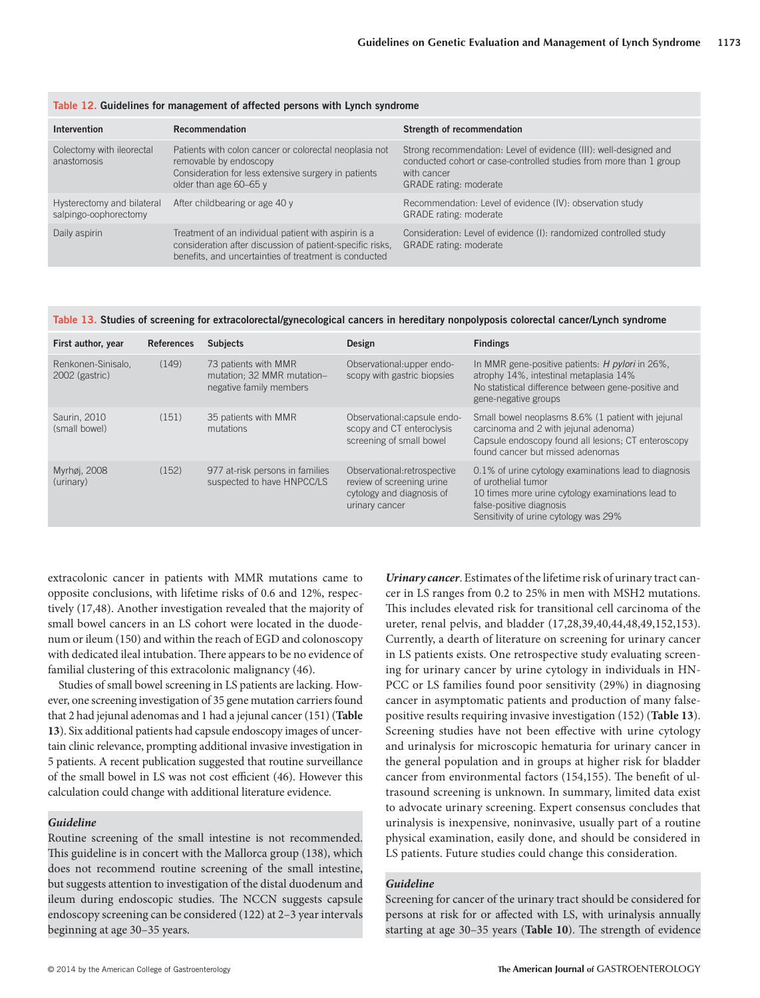| <b>Intervention</b>                                 | Recommendation                                                                                                                                                             | Strength of recommendation                                                                                                                                                              |
|-----------------------------------------------------|----------------------------------------------------------------------------------------------------------------------------------------------------------------------------|-----------------------------------------------------------------------------------------------------------------------------------------------------------------------------------------|
| Colectomy with ileorectal<br>anastomosis            | Patients with colon cancer or colorectal neoplasia not<br>removable by endoscopy<br>Consideration for less extensive surgery in patients<br>older than age 60-65 y         | Strong recommendation: Level of evidence (III): well-designed and<br>conducted cohort or case-controlled studies from more than 1 group<br>with cancer<br><b>GRADE</b> rating: moderate |
| Hysterectomy and bilateral<br>salpingo-oophorectomy | After childbearing or age 40 y                                                                                                                                             | Recommendation: Level of evidence (IV): observation study<br><b>GRADE</b> rating: moderate                                                                                              |
| Daily aspirin                                       | Treatment of an individual patient with aspirin is a<br>consideration after discussion of patient-specific risks,<br>benefits, and uncertainties of treatment is conducted | Consideration: Level of evidence (I): randomized controlled study<br><b>GRADE</b> rating: moderate                                                                                      |

#### **Table 12 . Guidelines for management of affected persons with Lynch syndrome**

### Table 13. Studies of screening for extracolorectal/gynecological cancers in hereditary nonpolyposis colorectal cancer/Lynch syndrome

| First author, year                   | <b>References</b> | <b>Subjects</b>                                                               | Design                                                                                                   | <b>Findings</b>                                                                                                                                                                                        |
|--------------------------------------|-------------------|-------------------------------------------------------------------------------|----------------------------------------------------------------------------------------------------------|--------------------------------------------------------------------------------------------------------------------------------------------------------------------------------------------------------|
| Renkonen-Sinisalo.<br>2002 (gastric) | (149)             | 73 patients with MMR<br>mutation; 32 MMR mutation-<br>negative family members | Observational: upper endo-<br>scopy with gastric biopsies                                                | In MMR gene-positive patients: <i>H pylori</i> in 26%,<br>atrophy 14%, intestinal metaplasia 14%<br>No statistical difference between gene-positive and<br>gene-negative groups                        |
| Saurin, 2010<br>(small bowel)        | (151)             | 35 patients with MMR<br>mutations                                             | Observational: capsule endo-<br>scopy and CT enteroclysis<br>screening of small bowel                    | Small bowel neoplasms 8.6% (1 patient with jejunal<br>carcinoma and 2 with jejunal adenoma)<br>Capsule endoscopy found all lesions; CT enteroscopy<br>found cancer but missed adenomas                 |
| Myrhøj, 2008<br>(urinary)            | (152)             | 977 at-risk persons in families<br>suspected to have HNPCC/LS                 | Observational: retrospective<br>review of screening urine<br>cytology and diagnosis of<br>urinary cancer | 0.1% of urine cytology examinations lead to diagnosis<br>of urothelial tumor<br>10 times more urine cytology examinations lead to<br>false-positive diagnosis<br>Sensitivity of urine cytology was 29% |

extracolonic cancer in patients with MMR mutations came to opposite conclusions, with lifetime risks of 0.6 and 12%, respectively (17,48). Another investigation revealed that the majority of small bowel cancers in an LS cohort were located in the duodenum or ileum (150) and within the reach of EGD and colonoscopy with dedicated ileal intubation. There appears to be no evidence of familial clustering of this extracolonic malignancy (46).

 Studies of small bowel screening in LS patients are lacking. However, one screening investigation of 35 gene mutation carriers found that 2 had jejunal adenomas and 1 had a jejunal cancer ( 151 ) ( **Table 13** ). Six additional patients had capsule endoscopy images of uncertain clinic relevance, prompting additional invasive investigation in 5 patients. A recent publication suggested that routine surveillance of the small bowel in LS was not cost efficient (46). However this calculation could change with additional literature evidence.

### *Guideline*

 Routine screening of the small intestine is not recommended. This guideline is in concert with the Mallorca group (138), which does not recommend routine screening of the small intestine, but suggests attention to investigation of the distal duodenum and ileum during endoscopic studies. The NCCN suggests capsule endoscopy screening can be considered (122) at 2-3 year intervals beginning at age 30-35 years.

*Urinary cancer* . Estimates of the lifetime risk of urinary tract cancer in LS ranges from 0.2 to 25% in men with MSH2 mutations. This includes elevated risk for transitional cell carcinoma of the ureter, renal pelvis, and bladder ( 17,28,39,40,44,48,49,152,153 ). Currently, a dearth of literature on screening for urinary cancer in LS patients exists. One retrospective study evaluating screening for urinary cancer by urine cytology in individuals in HN-PCC or LS families found poor sensitivity (29%) in diagnosing cancer in asymptomatic patients and production of many falsepositive results requiring invasive investigation (152) (Table 13). Screening studies have not been effective with urine cytology and urinalysis for microscopic hematuria for urinary cancer in the general population and in groups at higher risk for bladder cancer from environmental factors (154,155). The benefit of ultrasound screening is unknown. In summary, limited data exist to advocate urinary screening. Expert consensus concludes that urinalysis is inexpensive, noninvasive, usually part of a routine physical examination, easily done, and should be considered in LS patients. Future studies could change this consideration.

### *Guideline*

 Screening for cancer of the urinary tract should be considered for persons at risk for or affected with LS, with urinalysis annually starting at age 30-35 years (Table 10). The strength of evidence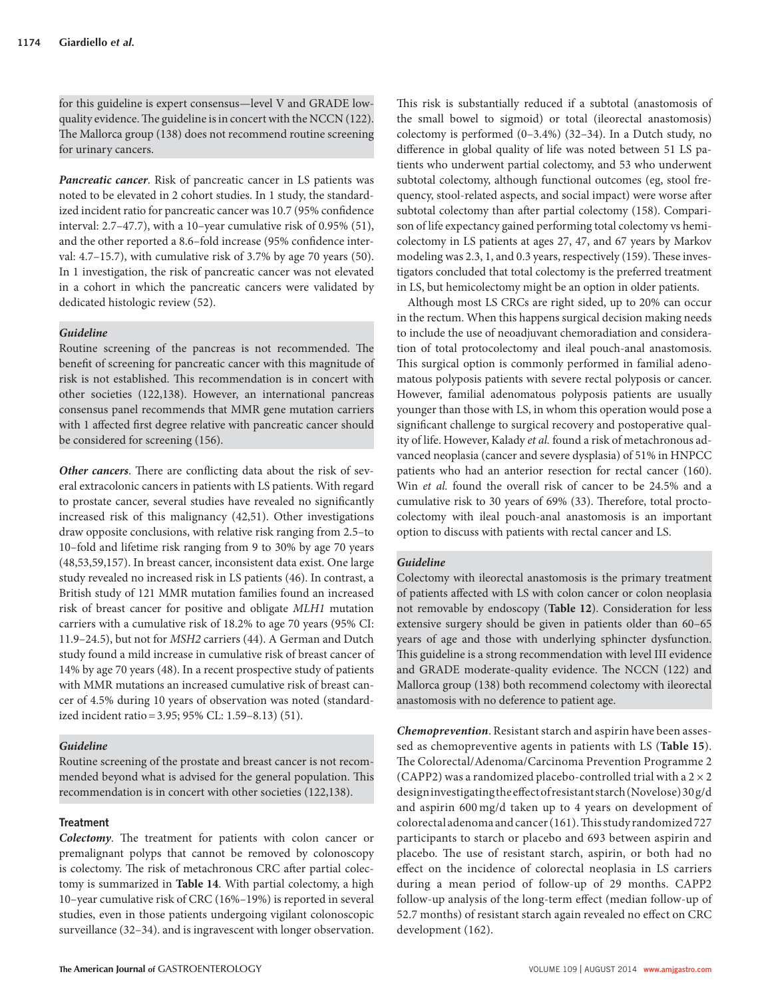for this guideline is expert consensus — level V and GRADE lowquality evidence. The guideline is in concert with the NCCN (122). The Mallorca group (138) does not recommend routine screening for urinary cancers.

*Pancreatic cancer* . Risk of pancreatic cancer in LS patients was noted to be elevated in 2 cohort studies. In 1 study, the standardized incident ratio for pancreatic cancer was 10.7 (95% confidence interval:  $2.7-47.7$ ), with a 10-year cumulative risk of 0.95% (51), and the other reported a 8.6-fold increase (95% confidence interval:  $4.7-15.7$ ), with cumulative risk of  $3.7\%$  by age 70 years (50). In 1 investigation, the risk of pancreatic cancer was not elevated in a cohort in which the pancreatic cancers were validated by dedicated histologic review (52).

# *Guideline*

Routine screening of the pancreas is not recommended. The benefit of screening for pancreatic cancer with this magnitude of risk is not established. This recommendation is in concert with other societies (122,138). However, an international pancreas consensus panel recommends that MMR gene mutation carriers with 1 affected first degree relative with pancreatic cancer should be considered for screening (156).

**Other cancers**. There are conflicting data about the risk of several extracolonic cancers in patients with LS patients. With regard to prostate cancer, several studies have revealed no significantly increased risk of this malignancy (42,51). Other investigations draw opposite conclusions, with relative risk ranging from 2.5 – to 10-fold and lifetime risk ranging from 9 to 30% by age 70 years ( 48,53,59,157 ). In breast cancer, inconsistent data exist. One large study revealed no increased risk in LS patients (46). In contrast, a British study of 121 MMR mutation families found an increased risk of breast cancer for positive and obligate *MLH1* mutation carriers with a cumulative risk of 18.2% to age 70 years (95% CI: 11.9-24.5), but not for *MSH2* carriers (44). A German and Dutch study found a mild increase in cumulative risk of breast cancer of 14% by age 70 years (48). In a recent prospective study of patients with MMR mutations an increased cumulative risk of breast cancer of 4.5 % during 10 years of observation was noted (standardized incident ratio = 3.95; 95% CL: 1.59-8.13) (51).

# *Guideline*

 Routine screening of the prostate and breast cancer is not recommended beyond what is advised for the general population. This recommendation is in concert with other societies (122,138).

# **Treatment**

**Colectomy**. The treatment for patients with colon cancer or premalignant polyps that cannot be removed by colonoscopy is colectomy. The risk of metachronous CRC after partial colectomy is summarized in **Table 14** . With partial colectomy, a high 10-year cumulative risk of CRC (16%-19%) is reported in several studies, even in those patients undergoing vigilant colonoscopic surveillance (32-34). and is ingravescent with longer observation.

This risk is substantially reduced if a subtotal (anastomosis of the small bowel to sigmoid) or total (ileorectal anastomosis) colectomy is performed  $(0-3.4%)$   $(32-34)$ . In a Dutch study, no difference in global quality of life was noted between 51 LS patients who underwent partial colectomy, and 53 who underwent subtotal colectomy, although functional outcomes (eg, stool frequency, stool-related aspects, and social impact) were worse after subtotal colectomy than after partial colectomy (158). Comparison of life expectancy gained performing total colectomy vs hemicolectomy in LS patients at ages 27, 47, and 67 years by Markov modeling was 2.3, 1, and 0.3 years, respectively (159). These investigators concluded that total colectomy is the preferred treatment in LS, but hemicolectomy might be an option in older patients.

Although most LS CRCs are right sided, up to 20% can occur in the rectum. When this happens surgical decision making needs to include the use of neoadjuvant chemoradiation and consideration of total protocolectomy and ileal pouch-anal anastomosis. This surgical option is commonly performed in familial adenomatous polyposis patients with severe rectal polyposis or cancer. However, familial adenomatous polyposis patients are usually younger than those with LS, in whom this operation would pose a significant challenge to surgical recovery and postoperative quality of life. However, Kalady *et al.* found a risk of metachronous advanced neoplasia (cancer and severe dysplasia) of 51 % in HNPCC patients who had an anterior resection for rectal cancer (160). Win *et al.* found the overall risk of cancer to be 24.5% and a cumulative risk to 30 years of 69% (33). Therefore, total proctocolectomy with ileal pouch-anal anastomosis is an important option to discuss with patients with rectal cancer and LS.

## *Guideline*

 Colectomy with ileorectal anastomosis is the primary treatment of patients affected with LS with colon cancer or colon neoplasia not removable by endoscopy (Table 12). Consideration for less extensive surgery should be given in patients older than 60-65 years of age and those with underlying sphincter dysfunction. This guideline is a strong recommendation with level III evidence and GRADE moderate-quality evidence. The NCCN (122) and Mallorca group (138) both recommend colectomy with ileorectal anastomosis with no deference to patient age.

*Chemoprevention* . Resistant starch and aspirin have been assessed as chemopreventive agents in patients with LS ( **Table 15** ). The Colorectal/Adenoma/Carcinoma Prevention Programme 2 (CAPP2) was a randomized placebo-controlled trial with a  $2 \times 2$ design investigating the effect of resistant starch (Novelose) 30 g/d and aspirin 600 mg/d taken up to 4 years on development of colorectal adenoma and cancer ( 161 ). Th is study randomized 727 participants to starch or placebo and 693 between aspirin and placebo. The use of resistant starch, aspirin, or both had no effect on the incidence of colorectal neoplasia in LS carriers during a mean period of follow-up of 29 months. CAPP2 follow-up analysis of the long-term effect (median follow-up of 52.7 months) of resistant starch again revealed no effect on CRC development (162).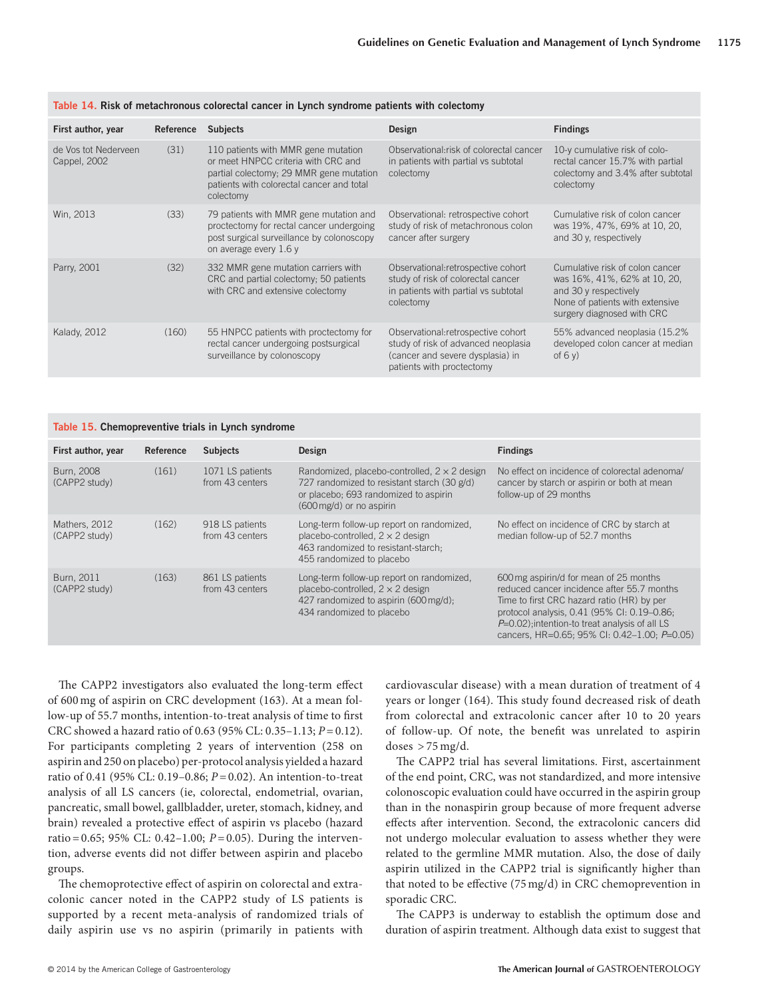| First author, year                   | Reference | <b>Subjects</b>                                                                                                                                                                 | Design                                                                                                                                      | <b>Findings</b>                                                                                                                                           |
|--------------------------------------|-----------|---------------------------------------------------------------------------------------------------------------------------------------------------------------------------------|---------------------------------------------------------------------------------------------------------------------------------------------|-----------------------------------------------------------------------------------------------------------------------------------------------------------|
| de Vos tot Nederveen<br>Cappel, 2002 | (31)      | 110 patients with MMR gene mutation<br>or meet HNPCC criteria with CRC and<br>partial colectomy; 29 MMR gene mutation<br>patients with colorectal cancer and total<br>colectomy | Observational: risk of colorectal cancer<br>in patients with partial vs subtotal<br>colectomy                                               | 10-y cumulative risk of colo-<br>rectal cancer 15.7% with partial<br>colectomy and 3.4% after subtotal<br>colectomy                                       |
| Win, 2013                            | (33)      | 79 patients with MMR gene mutation and<br>proctectomy for rectal cancer undergoing<br>post surgical surveillance by colonoscopy<br>on average every 1.6 y                       | Observational: retrospective cohort<br>study of risk of metachronous colon<br>cancer after surgery                                          | Cumulative risk of colon cancer<br>was 19%, 47%, 69% at 10, 20,<br>and 30 y, respectively                                                                 |
| Parry, 2001                          | (32)      | 332 MMR gene mutation carriers with<br>CRC and partial colectomy; 50 patients<br>with CRC and extensive colectomy                                                               | Observational: retrospective cohort<br>study of risk of colorectal cancer<br>in patients with partial vs subtotal<br>colectomy              | Cumulative risk of colon cancer<br>was 16%, 41%, 62% at 10, 20,<br>and 30 y respectively<br>None of patients with extensive<br>surgery diagnosed with CRC |
| <b>Kalady, 2012</b>                  | (160)     | 55 HNPCC patients with proctectomy for<br>rectal cancer undergoing postsurgical<br>surveillance by colonoscopy                                                                  | Observational: retrospective cohort<br>study of risk of advanced neoplasia<br>(cancer and severe dysplasia) in<br>patients with proctectomy | 55% advanced neoplasia (15.2%)<br>developed colon cancer at median<br>of $6y$                                                                             |

### **Table 14 . Risk of metachronous colorectal cancer in Lynch syndrome patients with colectomy**

### **Table 15 . Chemopreventive trials in Lynch syndrome**

| First author, year             | Reference | <b>Subjects</b>                     | Design                                                                                                                                                                  | <b>Findings</b>                                                                                                                                                                                                                                                                        |
|--------------------------------|-----------|-------------------------------------|-------------------------------------------------------------------------------------------------------------------------------------------------------------------------|----------------------------------------------------------------------------------------------------------------------------------------------------------------------------------------------------------------------------------------------------------------------------------------|
| Burn, 2008<br>(CAPP2 study)    | (161)     | 1071 LS patients<br>from 43 centers | Randomized, placebo-controlled, $2 \times 2$ design<br>727 randomized to resistant starch (30 g/d)<br>or placebo; 693 randomized to aspirin<br>(600 mg/d) or no aspirin | No effect on incidence of colorectal adenomal<br>cancer by starch or aspirin or both at mean<br>follow-up of 29 months                                                                                                                                                                 |
| Mathers, 2012<br>(CAPP2 study) | (162)     | 918 LS patients<br>from 43 centers  | Long-term follow-up report on randomized,<br>placebo-controlled, $2 \times 2$ design<br>463 randomized to resistant-starch:<br>455 randomized to placebo                | No effect on incidence of CRC by starch at<br>median follow-up of 52.7 months                                                                                                                                                                                                          |
| Burn, 2011<br>(CAPP2 study)    | (163)     | 861 LS patients<br>from 43 centers  | Long-term follow-up report on randomized,<br>placebo-controlled, $2 \times 2$ design<br>427 randomized to aspirin (600 mg/d);<br>434 randomized to placebo              | 600 mg aspirin/d for mean of 25 months<br>reduced cancer incidence after 55.7 months<br>Time to first CRC hazard ratio (HR) by per<br>protocol analysis, 0.41 (95% CI: 0.19-0.86;<br>$P=0.02$ ); intention-to treat analysis of all LS<br>cancers. HR=0.65: 95% CI: 0.42-1.00: P=0.05) |

The CAPP2 investigators also evaluated the long-term effect of 600 mg of aspirin on CRC development ( 163 ). At a mean follow-up of 55.7 months, intention-to-treat analysis of time to first CRC showed a hazard ratio of 0.63 (95 % CL: 0.35 – 1.13; *P* = 0.12). For participants completing 2 years of intervention (258 on aspirin and 250 on placebo) per-protocol analysis yielded a hazard ratio of 0.41 (95% CL: 0.19-0.86; *P* = 0.02). An intention-to-treat analysis of all LS cancers (ie, colorectal, endometrial, ovarian, pancreatic, small bowel, gallbladder, ureter, stomach, kidney, and brain) revealed a protective effect of aspirin vs placebo (hazard ratio = 0.65; 95% CL: 0.42-1.00; *P* = 0.05). During the intervention, adverse events did not differ between aspirin and placebo groups.

The chemoprotective effect of aspirin on colorectal and extracolonic cancer noted in the CAPP2 study of LS patients is supported by a recent meta-analysis of randomized trials of daily aspirin use vs no aspirin (primarily in patients with cardiovascular disease) with a mean duration of treatment of 4 years or longer (164). This study found decreased risk of death from colorectal and extracolonic cancer after 10 to 20 years of follow-up. Of note, the benefit was unrelated to aspirin doses  $> 75$  mg/d.

The CAPP2 trial has several limitations. First, ascertainment of the end point, CRC, was not standardized, and more intensive colonoscopic evaluation could have occurred in the aspirin group than in the nonaspirin group because of more frequent adverse effects after intervention. Second, the extracolonic cancers did not undergo molecular evaluation to assess whether they were related to the germline MMR mutation. Also, the dose of daily aspirin utilized in the CAPP2 trial is significantly higher than that noted to be effective  $(75 \text{ mg/d})$  in CRC chemoprevention in sporadic CRC.

The CAPP3 is underway to establish the optimum dose and duration of aspirin treatment. Although data exist to suggest that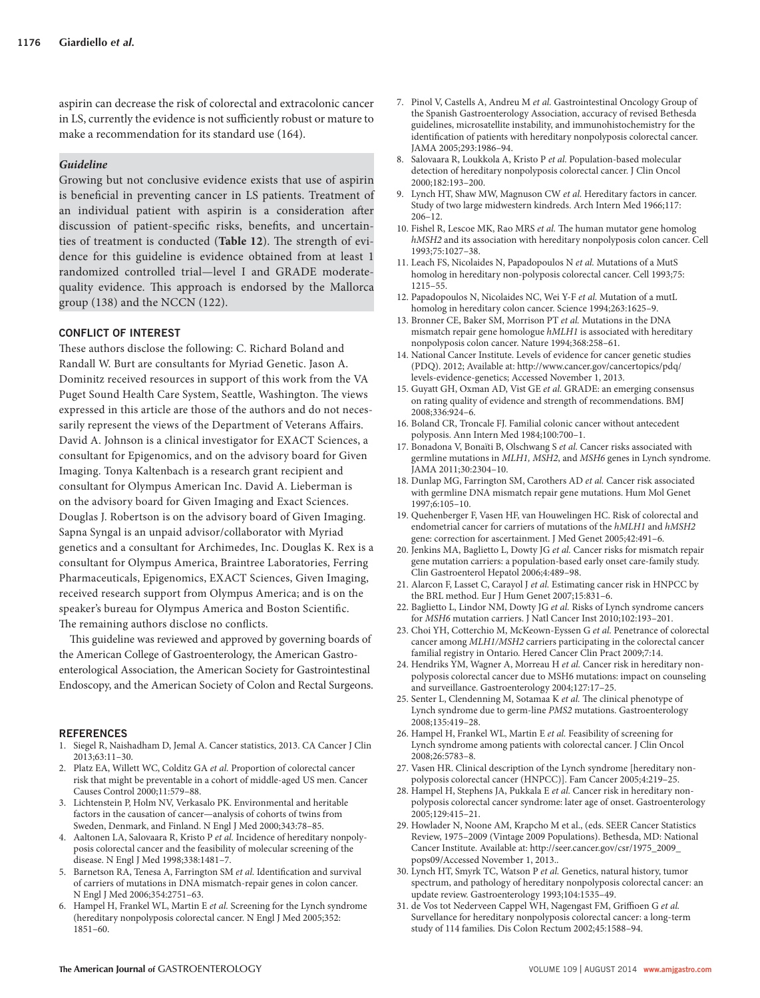aspirin can decrease the risk of colorectal and extracolonic cancer in LS, currently the evidence is not sufficiently robust or mature to make a recommendation for its standard use (164).

# *Guideline*

 Growing but not conclusive evidence exists that use of aspirin is beneficial in preventing cancer in LS patients. Treatment of an individual patient with aspirin is a consideration after discussion of patient-specific risks, benefits, and uncertainties of treatment is conducted (Table 12). The strength of evidence for this guideline is evidence obtained from at least 1 randomized controlled trial — level I and GRADE moderatequality evidence. This approach is endorsed by the Mallorca group  $(138)$  and the NCCN  $(122)$ .

### **CONFLICT OF INTEREST**

These authors disclose the following: C. Richard Boland and Randall W. Burt are consultants for Myriad Genetic. Jason A. Dominitz received resources in support of this work from the VA Puget Sound Health Care System, Seattle, Washington. The views expressed in this article are those of the authors and do not necessarily represent the views of the Department of Veterans Affairs. David A. Johnson is a clinical investigator for EXACT Sciences, a consultant for Epigenomics, and on the advisory board for Given Imaging. Tonya Kaltenbach is a research grant recipient and consultant for Olympus American Inc. David A. Lieberman is on the advisory board for Given Imaging and Exact Sciences. Douglas J. Robertson is on the advisory board of Given Imaging. Sapna Syngal is an unpaid advisor/collaborator with Myriad genetics and a consultant for Archimedes, Inc. Douglas K. Rex is a consultant for Olympus America, Braintree Laboratories, Ferring Pharmaceuticals, Epigenomics, EXACT Sciences, Given Imaging, received research support from Olympus America; and is on the speaker's bureau for Olympus America and Boston Scientific. The remaining authors disclose no conflicts.

This guideline was reviewed and approved by governing boards of the American College of Gastroenterology, the American Gastroenterological Association, the American Society for Gastrointestinal Endoscopy, and the American Society of Colon and Rectal Surgeons.

#### **REFERENCES**

- 1. Siegel R, Naishadham D, Jemal A. Cancer statistics, 2013. CA Cancer J Clin 2013;63:11-30.
- 2. Platz EA, Willett WC, Colditz GA et al. Proportion of colorectal cancer risk that might be preventable in a cohort of middle-aged US men . Cancer Causes Control 2000;11:579-88.
- 3. Lichtenstein P, Holm NV, Verkasalo PK. Environmental and heritable factors in the causation of cancer — analysis of cohorts of twins from Sweden, Denmark, and Finland. N Engl J Med 2000;343:78-85.
- 4. Aaltonen LA, Salovaara R, Kristo P et al. Incidence of hereditary nonpolyposis colorectal cancer and the feasibility of molecular screening of the disease. N Engl J Med 1998;338:1481-7.
- 5. Barnetson RA, Tenesa A, Farrington SM *et al.* Identification and survival of carriers of mutations in DNA mismatch-repair genes in colon cancer . N Engl J Med 2006;354:2751-63.
- 6. Hampel H, Frankel WL, Martin E et al. Screening for the Lynch syndrome (hereditary nonpolyposis colorectal cancer. N Engl J Med 2005;352:  $1851 - 60.$
- 7. Pinol V, Castells A, Andreu M et al. Gastrointestinal Oncology Group of the Spanish Gastroenterology Association, accuracy of revised Bethesda guidelines, microsatellite instability, and immunohistochemistry for the identification of patients with hereditary nonpolyposis colorectal cancer. JAMA 2005;293:1986-94.
- 8. Salovaara R, Loukkola A, Kristo P et al. Population-based molecular detection of hereditary nonpolyposis colorectal cancer . J Clin Oncol 2000:182:193-200.
- Lynch HT, Shaw MW, Magnuson CW *et al.* Hereditary factors in cancer. Study of two large midwestern kindreds. Arch Intern Med 1966;117:  $206 - 12$
- 10. Fishel R, Lescoe MK, Rao MRS et al. The human mutator gene homolog *hMSH2* and its association with hereditary nonpolyposis colon cancer. Cell 1993:75:1027-38.
- 11. Leach FS, Nicolaides N, Papadopoulos N et al. Mutations of a MutS homolog in hereditary non-polyposis colorectal cancer. Cell 1993;75:  $1215 - 55$
- 12. Papadopoulos N, Nicolaides NC, Wei Y-F et al. Mutation of a mutL homolog in hereditary colon cancer. Science 1994;263:1625-9.
- 13 . Bronner CE , Baker SM , Morrison PT *et al.* Mutations in the DNA mismatch repair gene homologue *hMLH1* is associated with hereditary nonpolyposis colon cancer. Nature 1994;368:258-61.
- 14. National Cancer Institute. Levels of evidence for cancer genetic studies (PDQ) . 2012 ; Available at: http://www.cancer.gov/cancertopics/pdq/ levels-evidence-genetics; Accessed November 1, 2013.
- 15. Guyatt GH, Oxman AD, Vist GE et al. GRADE: an emerging consensus on rating quality of evidence and strength of recommendations . BMJ 2008 ; 336 : 924 – 6 .
- 16. Boland CR, Troncale FJ. Familial colonic cancer without antecedent polyposis. Ann Intern Med 1984;100:700-1.
- 17. Bonadona V, Bonaïti B, Olschwang S et al. Cancer risks associated with germline mutations in *MLH1*, *MSH2*, and *MSH6* genes in Lynch syndrome. IAMA 2011;30:2304-10.
- 18. Dunlap MG, Farrington SM, Carothers AD et al. Cancer risk associated with germline DNA mismatch repair gene mutations . Hum Mol Genet 1997;6:105-10.
- 19. Quehenberger F, Vasen HF, van Houwelingen HC. Risk of colorectal and endometrial cancer for carriers of mutations of the *hMLH1* and *hMSH2* gene: correction for ascertainment. J Med Genet 2005;42:491-6.
- 20. Jenkins MA, Baglietto L, Dowty JG et al. Cancer risks for mismatch repair gene mutation carriers: a population-based early onset care-family study . Clin Gastroenterol Hepatol 2006;4:489-98.
- 21. Alarcon F, Lasset C, Carayol J et al. Estimating cancer risk in HNPCC by the BRL method. Eur J Hum Genet 2007;15:831-6.
- 22. Baglietto L, Lindor NM, Dowty JG et al. Risks of Lynch syndrome cancers for *MSH6* mutation carriers. J Natl Cancer Inst 2010;102:193-201.
- 23. Choi YH, Cotterchio M, McKeown-Eyssen G et al. Penetrance of colorectal cancer among *MLH1/MSH2* carriers participating in the colorectal cancer familial registry in Ontario. Hered Cancer Clin Pract 2009;7:14.
- 24. Hendriks YM, Wagner A, Morreau H et al. Cancer risk in hereditary nonpolyposis colorectal cancer due to MSH6 mutations: impact on counseling and surveillance. Gastroenterology 2004;127:17-25.
- 25. Senter L, Clendenning M, Sotamaa K et al. The clinical phenotype of Lynch syndrome due to germ-line *PMS2* mutations . Gastroenterology 2008;135:419-28.
- 26. Hampel H, Frankel WL, Martin E et al. Feasibility of screening for Lynch syndrome among patients with colorectal cancer . J Clin Oncol 2008;26:5783-8.
- 27. Vasen HR. Clinical description of the Lynch syndrome [hereditary nonpolyposis colorectal cancer (HNPCC)]. Fam Cancer 2005;4:219-25.
- 28. Hampel H, Stephens JA, Pukkala E et al. Cancer risk in hereditary nonpolyposis colorectal cancer syndrome: later age of onset. Gastroenterology 2005;129:415-21.
- 29. Howlader N, Noone AM, Krapcho M et al., (eds. SEER Cancer Statistics Review, 1975 – 2009 (Vintage 2009 Populations). Bethesda, MD: National Cancer Institute. Available at: http://seer.cancer.gov/csr/1975\_2009\_ pops09/Accessed November 1, 2013..
- 30 . Lynch HT , Smyrk TC , Watson P *et al.* Genetics, natural history, tumor spectrum, and pathology of hereditary nonpolyposis colorectal cancer: an update review. Gastroenterology 1993;104:1535-49.
- 31. de Vos tot Nederveen Cappel WH, Nagengast FM, Griffioen G et al. Survellance for hereditary nonpolyposis colorectal cancer: a long-term study of 114 families. Dis Colon Rectum 2002;45:1588-94.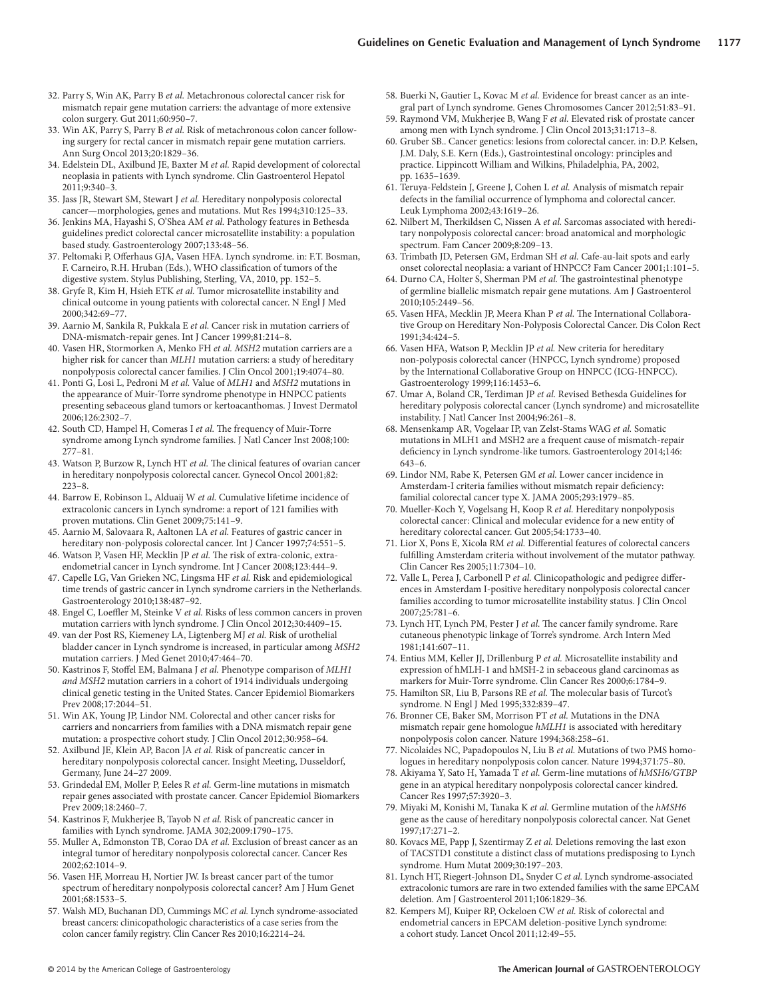- 32. Parry S, Win AK, Parry B et al. Metachronous colorectal cancer risk for mismatch repair gene mutation carriers: the advantage of more extensive colon surgery. Gut 2011;60:950-7.
- 33. Win AK, Parry S, Parry B et al. Risk of metachronous colon cancer following surgery for rectal cancer in mismatch repair gene mutation carriers . Ann Surg Oncol 2013;20:1829-36.
- 34. Edelstein DL, Axilbund JE, Baxter M et al. Rapid development of colorectal neoplasia in patients with Lynch syndrome . Clin Gastroenterol Hepatol 2011:9:340-3.
- 35 . Jass JR , Stewart SM , Stewart J *et al.* Hereditary nonpolyposis colorectal cancer-morphologies, genes and mutations. Mut Res 1994;310:125-33.
- 36. Jenkins MA, Hayashi S, O'Shea AM et al. Pathology features in Bethesda guidelines predict colorectal cancer microsatellite instability: a population based study. Gastroenterology 2007;133:48-56.
- 37. Peltomaki P, Offerhaus GJA, Vasen HFA. Lynch syndrome. in: F.T. Bosman, F. Carneiro, R.H. Hruban (Eds.), WHO classification of tumors of the digestive system. Stylus Publishing, Sterling, VA, 2010, pp. 152-5.
- 38. Gryfe R, Kim H, Hsieh ETK et al. Tumor microsatellite instability and clinical outcome in young patients with colorectal cancer . N Engl J Med 2000:342:69-77.
- 39. Aarnio M, Sankila R, Pukkala E et al. Cancer risk in mutation carriers of DNA-mismatch-repair genes. Int J Cancer 1999;81:214-8.
- 40. Vasen HR, Stormorken A, Menko FH et al. *MSH2* mutation carriers are a higher risk for cancer than *MLH1* mutation carriers: a study of hereditary nonpolyposis colorectal cancer families. J Clin Oncol 2001;19:4074-80.
- 41 . Ponti G , Losi L , Pedroni M *et al.* Value of *MLH1* and *MSH2* mutations in the appearance of Muir-Torre syndrome phenotype in HNPCC patients presenting sebaceous gland tumors or kertoacanthomas . J Invest Dermatol 2006;126:2302-7
- 42. South CD, Hampel H, Comeras I et al. The frequency of Muir-Torre syndrome among Lynch syndrome families. J Natl Cancer Inst 2008;100:  $277 - 81$ .
- 43. Watson P, Burzow R, Lynch HT et al. The clinical features of ovarian cancer in hereditary nonpolyposis colorectal cancer. Gynecol Oncol 2001;82:  $223 - 8.$
- 44. Barrow E, Robinson L, Alduaij W et al. Cumulative lifetime incidence of extracolonic cancers in Lynch syndrome: a report of 121 families with proven mutations. Clin Genet 2009;75:141-9.
- 45. Aarnio M, Salovaara R, Aaltonen LA et al. Features of gastric cancer in hereditary non-polyposis colorectal cancer. Int J Cancer 1997;74:551-5.
- 46. Watson P, Vasen HF, Mecklin JP et al. The risk of extra-colonic, extraendometrial cancer in Lynch syndrome. Int J Cancer 2008;123:444-9.
- 47. Capelle LG, Van Grieken NC, Lingsma HF et al. Risk and epidemiological time trends of gastric cancer in Lynch syndrome carriers in the Netherlands. Gastroenterology 2010;138:487-92.
- 48. Engel C, Loeffler M, Steinke V *et al.* Risks of less common cancers in proven mutation carriers with lynch syndrome. J Clin Oncol 2012;30:4409-15.
- 49 . van der Post RS , Kiemeney LA , Ligtenberg MJ *et al.* Risk of urothelial bladder cancer in Lynch syndrome is increased, in particular among *MSH2* mutation carriers. J Med Genet 2010;47:464-70.
- 50. Kastrinos F, Stoffel EM, Balmana J et al. Phenotype comparison of MLH1 *and MSH2* mutation carriers in a cohort of 1914 individuals undergoing clinical genetic testing in the United States . Cancer Epidemiol Biomarkers Prev 2008;17:2044-51.
- 51. Win AK, Young JP, Lindor NM. Colorectal and other cancer risks for carriers and noncarriers from families with a DNA mismatch repair gene mutation: a prospective cohort study. J Clin Oncol 2012;30:958-64.
- 52 . Axilbund JE , Klein AP , Bacon JA *et al.* Risk of pancreatic cancer in hereditary nonpolyposis colorectal cancer. Insight Meeting, Dusseldorf, Germany, June 24-27 2009.
- 53. Grindedal EM, Moller P, Eeles R et al. Germ-line mutations in mismatch repair genes associated with prostate cancer . Cancer Epidemiol Biomarkers Prev 2009;18:2460-7.
- 54. Kastrinos F, Mukherjee B, Tayob N et al. Risk of pancreatic cancer in families with Lynch syndrome. JAMA 302;2009:1790-175.
- 55. Muller A, Edmonston TB, Corao DA et al. Exclusion of breast cancer as an integral tumor of hereditary nonpolyposis colorectal cancer . Cancer Res 2002 ; 62 : 1014 – 9 .
- 56. Vasen HF, Morreau H, Nortier JW. Is breast cancer part of the tumor spectrum of hereditary nonpolyposis colorectal cancer? Am J Hum Genet  $2001.68.1533 - 5$
- 57 . Walsh MD , Buchanan DD , Cummings MC *et al.* Lynch syndrome-associated breast cancers: clinicopathologic characteristics of a case series from the colon cancer family registry. Clin Cancer Res 2010;16:2214-24.
- 58. Buerki N, Gautier L, Kovac M et al. Evidence for breast cancer as an integral part of Lynch syndrome. Genes Chromosomes Cancer 2012;51:83-91.
- 59. Raymond VM, Mukherjee B, Wang F et al. Elevated risk of prostate cancer among men with Lynch syndrome. J Clin Oncol 2013;31:1713-8.
- 60. Gruber SB.. Cancer genetics: lesions from colorectal cancer. in: D.P. Kelsen, J.M. Daly, S.E. Kern (Eds.), Gastrointestinal oncology: principles and practice. Lippincott William and Wilkins, Philadelphia, PA, 2002, pp. 1635-1639.
- 61. Teruya-Feldstein J, Greene J, Cohen L et al. Analysis of mismatch repair defects in the familial occurrence of lymphoma and colorectal cancer. Leuk Lymphoma 2002;43:1619-26.
- 62. Nilbert M, Therkildsen C, Nissen A et al. Sarcomas associated with hereditary nonpolyposis colorectal cancer: broad anatomical and morphologic spectrum. Fam Cancer 2009;8:209-13.
- 63. Trimbath JD, Petersen GM, Erdman SH et al. Cafe-au-lait spots and early onset colorectal neoplasia: a variant of HNPCC? Fam Cancer 2001;1:101-5.
- 64. Durno CA, Holter S, Sherman PM et al. The gastrointestinal phenotype of germline biallelic mismatch repair gene mutations . Am J Gastroenterol 2010;105:2449-56.
- 65. Vasen HFA, Mecklin JP, Meera Khan P et al. The International Collaborative Group on Hereditary Non-Polyposis Colorectal Cancer. Dis Colon Rect  $1991:34.424-5$
- 66. Vasen HFA, Watson P, Mecklin JP et al. New criteria for hereditary non-polyposis colorectal cancer (HNPCC, Lynch syndrome) proposed by the International Collaborative Group on HNPCC (ICG-HNPCC) . Gastroenterology 1999;116:1453-6.
- 67 . Umar A , Boland CR , Terdiman JP *et al.* Revised Bethesda Guidelines for hereditary polyposis colorectal cancer (Lynch syndrome) and microsatellite instability. J Natl Cancer Inst 2004;96:261-8.
- 68. Mensenkamp AR, Vogelaar IP, van Zelst-Stams WAG et al. Somatic mutations in MLH1 and MSH2 are a frequent cause of mismatch-repair deficiency in Lynch syndrome-like tumors. Gastroenterology 2014;146:  $643 - 6.$
- 69. Lindor NM, Rabe K, Petersen GM et al. Lower cancer incidence in Amsterdam-I criteria families without mismatch repair deficiency: familial colorectal cancer type X. JAMA 2005;293:1979-85.
- 70. Mueller-Koch Y, Vogelsang H, Koop R et al. Hereditary nonpolyposis colorectal cancer: Clinical and molecular evidence for a new entity of hereditary colorectal cancer. Gut 2005;54:1733-40.
- 71. Lior X, Pons E, Xicola RM et al. Differential features of colorectal cancers fulfilling Amsterdam criteria without involvement of the mutator pathway. Clin Cancer Res 2005;11:7304-10.
- 72. Valle L, Perea J, Carbonell P et al. Clinicopathologic and pedigree differences in Amsterdam I-positive hereditary nonpolyposis colorectal cancer families according to tumor microsatellite instability status . J Clin Oncol 2007;25:781-6.
- 73. Lynch HT, Lynch PM, Pester J et al. The cancer family syndrome. Rare cutaneous phenotypic linkage of Torre's syndrome . Arch Intern Med 1981;141:607-11.
- 74. Entius MM, Keller JJ, Drillenburg P et al. Microsatellite instability and expression of hMLH-1 and hMSH-2 in sebaceous gland carcinomas as markers for Muir-Torre syndrome. Clin Cancer Res 2000;6:1784-9.
- 75. Hamilton SR, Liu B, Parsons RE *et al.* The molecular basis of Turcot's syndrome. N Engl J Med 1995;332:839-47.
- 76 . Bronner CE , Baker SM , Morrison PT *et al.* Mutations in the DNA mismatch repair gene homologue *hMLH1* is associated with hereditary nonpolyposis colon cancer. Nature 1994;368:258-61.
- 77. Nicolaides NC, Papadopoulos N, Liu B et al. Mutations of two PMS homologues in hereditary nonpolyposis colon cancer. Nature 1994;371:75-80.
- 78. Akiyama Y, Sato H, Yamada T et al. Germ-line mutations of  $hMSH6/GTBP$ gene in an atypical hereditary nonpolyposis colorectal cancer kindred. Cancer Res 1997:57:3920-3.
- 79. Miyaki M, Konishi M, Tanaka K et al. Germline mutation of the  $hMSH6$ gene as the cause of hereditary nonpolyposis colorectal cancer . Nat Genet  $1997:17:271-2.$
- 80. Kovacs ME, Papp J, Szentirmay Z et al. Deletions removing the last exon of TACSTD1 constitute a distinct class of mutations predisposing to Lynch syndrome. Hum Mutat 2009;30:197-203.
- 81. Lynch HT, Riegert-Johnson DL, Snyder C et al. Lynch syndrome-associated extracolonic tumors are rare in two extended families with the same EPCAM deletion. Am J Gastroenterol 2011;106:1829-36.
- 82. Kempers MJ, Kuiper RP, Ockeloen CW et al. Risk of colorectal and endometrial cancers in EPCAM deletion-positive Lynch syndrome: a cohort study. Lancet Oncol 2011;12:49-55.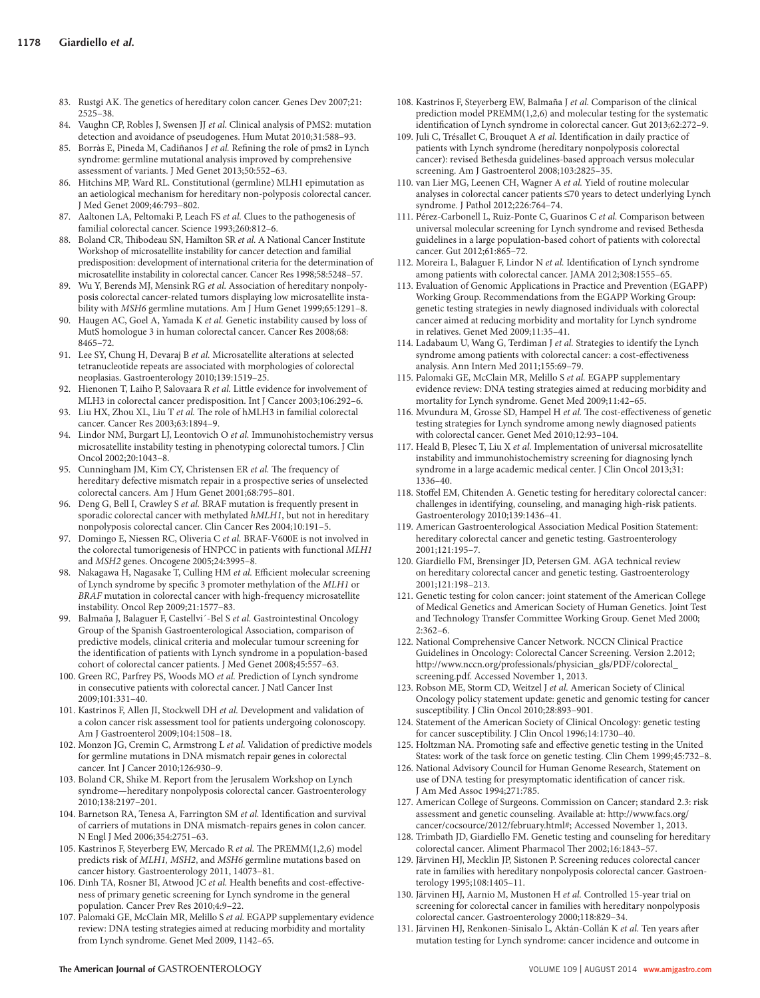- 83. Rustgi AK. The genetics of hereditary colon cancer. Genes Dev 2007;21:  $2525 - 38$ .
- 84. Vaughn CP, Robles J, Swensen JJ et al. Clinical analysis of PMS2: mutation detection and avoidance of pseudogenes. Hum Mutat 2010;31:588-93.
- 85. Borràs E, Pineda M, Cadiñanos J et al. Refining the role of pms2 in Lynch syndrome: germline mutational analysis improved by comprehensive assessment of variants. J Med Genet 2013;50:552-63
- 86. Hitchins MP, Ward RL. Constitutional (germline) MLH1 epimutation as an aetiological mechanism for hereditary non-polyposis colorectal cancer. J Med Genet 2009;46:793-802.
- 87. Aaltonen LA, Peltomaki P, Leach FS et al. Clues to the pathogenesis of familial colorectal cancer. Science 1993;260:812-6.
- 88. Boland CR, Thibodeau SN, Hamilton SR et al. A National Cancer Institute Workshop of microsatellite instability for cancer detection and familial predisposition: development of international criteria for the determination of microsatellite instability in colorectal cancer. Cancer Res 1998;58:5248-57.
- 89. Wu Y, Berends MJ, Mensink RG et al. Association of hereditary nonpolyposis colorectal cancer-related tumors displaying low microsatellite instability with *MSH6* germline mutations. Am J Hum Genet 1999;65:1291-8.
- 90. Haugen AC, Goel A, Yamada K et al. Genetic instability caused by loss of MutS homologue 3 in human colorectal cancer. Cancer Res 2008;68: 8465-72
- 91. Lee SY, Chung H, Devaraj B et al. Microsatellite alterations at selected tetranucleotide repeats are associated with morphologies of colorectal neoplasias. Gastroenterology 2010;139:1519-25.
- 92. Hienonen T, Laiho P, Salovaara R et al. Little evidence for involvement of MLH3 in colorectal cancer predisposition. Int J Cancer 2003;106:292-6.
- 93. Liu HX, Zhou XL, Liu T et al. The role of hMLH3 in familial colorectal cancer. Cancer Res 2003;63:1894-9.
- 94. Lindor NM, Burgart LJ, Leontovich O et al. Immunohistochemistry versus microsatellite instability testing in phenotyping colorectal tumors . J Clin Oncol 2002;20:1043-8.
- 95. Cunningham JM, Kim CY, Christensen ER et al. The frequency of hereditary defective mismatch repair in a prospective series of unselected colorectal cancers. Am J Hum Genet 2001;68:795-801.
- 96. Deng G, Bell I, Crawley S et al. BRAF mutation is frequently present in sporadic colorectal cancer with methylated *hMLH1* , but not in hereditary nonpolyposis colorectal cancer. Clin Cancer Res 2004;10:191-5.
- 97. Domingo E, Niessen RC, Oliveria C et al. BRAF-V600E is not involved in the colorectal tumorigenesis of HNPCC in patients with functional *MLH1* and *MSH2* genes. Oncogene 2005;24:3995-8.
- 98. Nakagawa H, Nagasake T, Culling HM et al. Efficient molecular screening of Lynch syndrome by specific 3 promoter methylation of the MLH1 or *BRAF* mutation in colorectal cancer with high-frequency microsatellite instability. Oncol Rep 2009;21:1577-83.
- Balmaña J, Balaguer F, Castellvi ´-Bel S et al. Gastrointestinal Oncology Group of the Spanish Gastroenterological Association, comparison of predictive models, clinical criteria and molecular tumour screening for the identification of patients with Lynch syndrome in a population-based cohort of colorectal cancer patients. J Med Genet 2008;45:557-63.
- 100. Green RC, Parfrey PS, Woods MO et al. Prediction of Lynch syndrome in consecutive patients with colorectal cancer . J Natl Cancer Inst 2009:101:331-40.
- 101. Kastrinos F, Allen JI, Stockwell DH et al. Development and validation of a colon cancer risk assessment tool for patients undergoing colonoscopy . Am J Gastroenterol 2009;104:1508-18.
- 102. Monzon JG, Cremin C, Armstrong L et al. Validation of predictive models for germline mutations in DNA mismatch repair genes in colorectal cancer. Int J Cancer 2010;126:930-9.
- 103. Boland CR, Shike M. Report from the Jerusalem Workshop on Lynch syndrome-hereditary nonpolyposis colorectal cancer. Gastroenterology 2010:138:2197-201.
- 104. Barnetson RA, Tenesa A, Farrington SM et al. Identification and survival of carriers of mutations in DNA mismatch-repairs genes in colon cancer . N Engl J Med 2006;354:2751-63.
- 105. Kastrinos F, Steyerberg EW, Mercado R et al. The PREMM(1,2,6) model predicts risk of *MLH1, MSH2* , and *MSH6* germline mutations based on cancer history. Gastroenterology 2011, 14073-81.
- 106. Dinh TA, Rosner BI, Atwood JC et al. Health benefits and cost-effectiveness of primary genetic screening for Lynch syndrome in the general population. Cancer Prev Res 2010;4:9-22.
- 107. Palomaki GE, McClain MR, Melillo S et al. EGAPP supplementary evidence review: DNA testing strategies aimed at reducing morbidity and mortality from Lynch syndrome. Genet Med 2009, 1142-65.
- 108. Kastrinos F, Steyerberg EW, Balmaña J et al. Comparison of the clinical prediction model PREMM(1,2,6) and molecular testing for the systematic identification of Lynch syndrome in colorectal cancer. Gut 2013;62:272-9.
- 109. Juli C, Trésallet C, Brouquet A et al. Identification in daily practice of patients with Lynch syndrome (hereditary nonpolyposis colorectal cancer): revised Bethesda guidelines-based approach versus molecular screening. Am J Gastroenterol 2008;103:2825-35.
- 110. van Lier MG, Leenen CH, Wagner A et al. Yield of routine molecular analyses in colorectal cancer patients ≤70 years to detect underlying Lynch syndrome. J Pathol 2012;226:764-74.
- 111. Pérez-Carbonell L, Ruiz-Ponte C, Guarinos C et al. Comparison between universal molecular screening for Lynch syndrome and revised Bethesda guidelines in a large population-based cohort of patients with colorectal cancer. Gut 2012;61:865-72.
- 112. Moreira L, Balaguer F, Lindor N et al. Identification of Lynch syndrome among patients with colorectal cancer. JAMA 2012;308:1555-65.
- 113 . Evaluation of Genomic Applications in Practice and Prevention (EGAPP) Working Group. Recommendations from the EGAPP Working Group: genetic testing strategies in newly diagnosed individuals with colorectal cancer aimed at reducing morbidity and mortality for Lynch syndrome in relatives. Genet Med 2009;11:35-41.
- 114. Ladabaum U, Wang G, Terdiman J et al. Strategies to identify the Lynch syndrome among patients with colorectal cancer: a cost-effectiveness analysis. Ann Intern Med 2011;155:69-79.
- 115. Palomaki GE, McClain MR, Melillo S et al. EGAPP supplementary evidence review: DNA testing strategies aimed at reducing morbidity and mortality for Lynch syndrome. Genet Med 2009;11:42-65.
- 116. Mvundura M, Grosse SD, Hampel H et al. The cost-effectiveness of genetic testing strategies for Lynch syndrome among newly diagnosed patients with colorectal cancer. Genet Med 2010;12:93-104.
- 117. Heald B, Plesec T, Liu X et al. Implementation of universal microsatellite instability and immunohistochemistry screening for diagnosing lynch syndrome in a large academic medical center. J Clin Oncol 2013;31: 1336-40.
- 118. Stoffel EM, Chitenden A. Genetic testing for hereditary colorectal cancer: challenges in identifying, counseling, and managing high-risk patients . Gastroenterology 2010;139:1436-41.
- 119 . American Gastroenterological Association Medical Position Statement: hereditary colorectal cancer and genetic testing. Gastroenterology 2001;121:195-7.
- 120. Giardiello FM, Brensinger JD, Petersen GM. AGA technical review on hereditary colorectal cancer and genetic testing. Gastroenterology 2001:121:198-213.
- 121. Genetic testing for colon cancer: joint statement of the American College of Medical Genetics and American Society of Human Genetics. Joint Test and Technology Transfer Committee Working Group. Genet Med 2000;  $2.362 - 6$
- 122 . National Comprehensive Cancer Network . NCCN Clinical Practice Guidelines in Oncology: Colorectal Cancer Screening. Version 2.2012; http://www.nccn.org/professionals/physician\_gls/PDF/colorectal\_ screening.pdf. Accessed November 1, 2013.
- 123. Robson ME, Storm CD, Weitzel J et al. American Society of Clinical Oncology policy statement update: genetic and genomic testing for cancer susceptibility. J Clin Oncol 2010;28:893-901.
- 124 . Statement of the American Society of Clinical Oncology: genetic testing for cancer susceptibility. J Clin Oncol 1996;14:1730-40.
- 125. Holtzman NA. Promoting safe and effective genetic testing in the United States: work of the task force on genetic testing. Clin Chem 1999;45:732-8.
- 126 . National Advisory Council for Human Genome Research, Statement on use of DNA testing for presymptomatic identification of cancer risk. J Am Med Assoc 1994;271:785.
- 127. American College of Surgeons. Commission on Cancer; standard 2.3: risk assessment and genetic counseling. Available at: http://www.facs.org/ cancer/cocsource/2012/february.html#; Accessed November 1, 2013.
- 128. Trimbath JD, Giardiello FM. Genetic testing and counseling for hereditary colorectal cancer. Aliment Pharmacol Ther 2002;16:1843-57.
- 129. Järvinen HJ, Mecklin JP, Sistonen P. Screening reduces colorectal cancer rate in families with hereditary nonpolyposis colorectal cancer. Gastroenterology 1995;108:1405-11.
- 130. Järvinen HJ, Aarnio M, Mustonen H et al. Controlled 15-year trial on screening for colorectal cancer in families with hereditary nonpolyposis colorectal cancer. Gastroenterology 2000;118:829-34.
- 131. Järvinen HJ, Renkonen-Sinisalo L, Aktán-Collán K et al. Ten years after mutation testing for Lynch syndrome: cancer incidence and outcome in